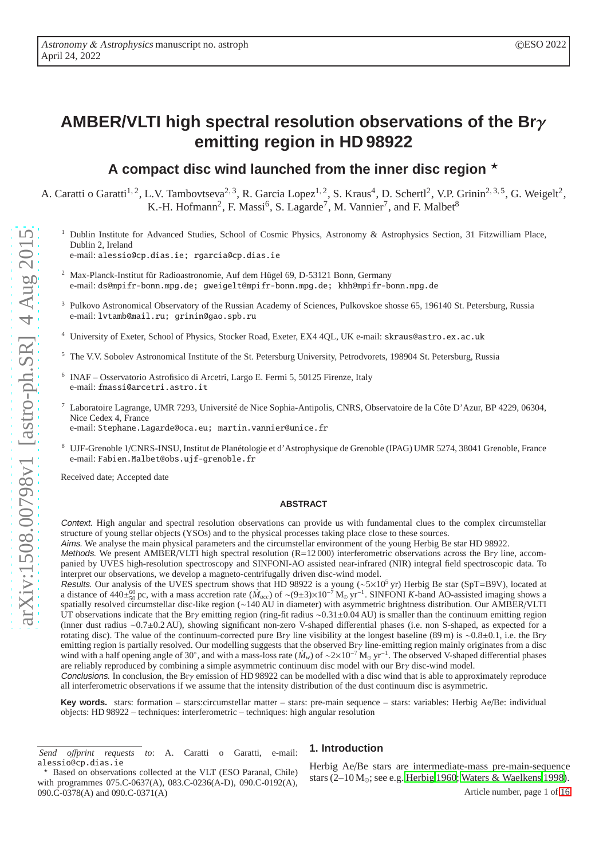# **AMBER/VLTI high spectral resolution observations of the Br**γ **emitting region in HD 98922**

# A compact disc wind launched from the inner disc region  $\star$

A. Caratti o Garatti<sup>1, 2</sup>, L.V. Tambovtseva<sup>2, 3</sup>, R. Garcia Lopez<sup>1, 2</sup>, S. Kraus<sup>4</sup>, D. Schertl<sup>2</sup>, V.P. Grinin<sup>2, 3, 5</sup>, G. Weigelt<sup>2</sup>, K.-H. Hofmann<sup>2</sup>, F. Massi<sup>6</sup>, S. Lagarde<sup>7</sup>, M. Vannier<sup>7</sup>, and F. Malbet<sup>8</sup>

- <sup>1</sup> Dublin Institute for Advanced Studies, School of Cosmic Physics, Astronomy & Astrophysics Section, 31 Fitzwilliam Place, Dublin 2, Ireland e-mail: alessio@cp.dias.ie; rgarcia@cp.dias.ie
	-
	- <sup>2</sup> Max-Planck-Institut für Radioastronomie, Auf dem Hügel 69, D-53121 Bonn, Germany e-mail: ds@mpifr-bonn.mpg.de; gweigelt@mpifr-bonn.mpg.de; khh@mpifr-bonn.mpg.de
- <sup>3</sup> Pulkovo Astronomical Observatory of the Russian Academy of Sciences, Pulkovskoe shosse 65, 196140 St. Petersburg, Russia e-mail: lvtamb@mail.ru; grinin@gao.spb.ru
- <sup>4</sup> University of Exeter, School of Physics, Stocker Road, Exeter, EX4 4QL, UK e-mail: skraus@astro.ex.ac.uk
- <sup>5</sup> The V.V. Sobolev Astronomical Institute of the St. Petersburg University, Petrodvorets, 198904 St. Petersburg, Russia
- 6 INAF Osservatorio Astrofisico di Arcetri, Largo E. Fermi 5, 50125 Firenze, Italy e-mail: fmassi@arcetri.astro.it
- <sup>7</sup> Laboratoire Lagrange, UMR 7293, Université de Nice Sophia-Antipolis, CNRS, Observatoire de la Côte D'Azur, BP 4229, 06304, Nice Cedex 4, France
- e-mail: Stephane.Lagarde@oca.eu; martin.vannier@unice.fr
- <sup>8</sup> UJF-Grenoble 1/CNRS-INSU, Institut de Planétologie et d'Astrophysique de Grenoble (IPAG) UMR 5274, 38041 Grenoble, France e-mail: Fabien.Malbet@obs.ujf-grenoble.fr

Received date; Accepted date

#### **ABSTRACT**

Context. High angular and spectral resolution observations can provide us with fundamental clues to the complex circumstellar structure of young stellar objects (YSOs) and to the physical processes taking place close to these sources.

Aims. We analyse the main physical parameters and the circumstellar environment of the young Herbig Be star HD 98922.

Methods. We present AMBER/VLTI high spectral resolution (R=12 000) interferometric observations across the Brγ line, accompanied by UVES high-resolution spectroscopy and SINFONI-AO assisted near-infrared (NIR) integral field spectroscopic data. To interpret our observations, we develop a magneto-centrifugally driven disc-wind model.

Results. Our analysis of the UVES spectrum shows that HD 98922 is a young ( $\sim$ 5×10<sup>5</sup> yr) Herbig Be star (SpT=B9V), located at a distance of 440±<sup>60</sup><sub>50</sub> pc, with a mass accretion rate ( $\dot{M}_{acc}$ ) of ~(9±3)×10<sup>-7</sup> M<sub>o</sub> yr<sup>-1</sup>. SINFONI *K*-band AO-assisted imaging shows a spatially resolved circumstellar disc-like region (∼140 AU in diameter) with asymmetric brightness distribution. Our AMBER/VLTI UT observations indicate that the Bry emitting region (ring-fit radius ∼0.31±0.04 AU) is smaller than the continuum emitting region (inner dust radius ∼0.7±0.2 AU), showing significant non-zero V-shaped differential phases (i.e. non S-shaped, as expected for a rotating disc). The value of the continuum-corrected pure Brγ line visibility at the longest baseline (89 m) is ∼0.8±0.1, i.e. the Brγ emitting region is partially resolved. Our modelling suggests that the observed Brγ line-emitting region mainly originates from a disc wind with a half opening angle of 30°, and with a mass-loss rate ( $\dot{M}_w$ ) of ~2×10<sup>-7</sup> M<sub>☉</sub> yr<sup>-1</sup>. The observed V-shaped differential phases are reliably reproduced by combining a simple asymmetric continuum disc model with our Brγ disc-wind model.

Conclusions. In conclusion, the Bry emission of HD 98922 can be modelled with a disc wind that is able to approximately reproduce all interferometric observations if we assume that the intensity distribution of the dust continuum disc is asymmetric.

**Key words.** stars: formation – stars:circumstellar matter – stars: pre-main sequence – stars: variables: Herbig Ae/Be: individual objects: HD 98922 – techniques: interferometric – techniques: high angular resolution

# **1. Introduction**

Herbig Ae/Be stars are intermediate-mass pre-main-sequence stars (2–10 M⊙; see e.g. [Herbig 1960;](#page-13-0) [Waters & Waelkens 1998\)](#page-13-1). Article number, page 1 of [16](#page-15-0)

*Send o*ff*print requests to*: A. Caratti o Garatti, e-mail: alessio@cp.dias.ie

<sup>⋆</sup> Based on observations collected at the VLT (ESO Paranal, Chile) with programmes 075.C-0637(A), 083.C-0236(A-D), 090.C-0192(A), 090.C-0378(A) and 090.C-0371(A)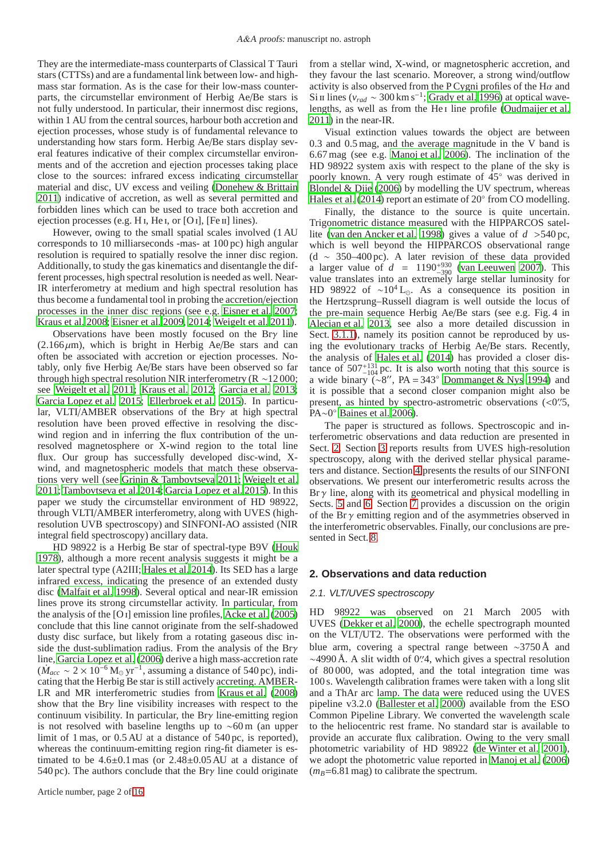They are the intermediate-mass counterparts of Classical T Tauri stars (CTTSs) and are a fundamental link between low- and highmass star formation. As is the case for their low-mass counterparts, the circumstellar environment of Herbig Ae/Be stars is not fully understood. In particular, their innermost disc regions, within 1 AU from the central sources, harbour both accretion and ejection processes, whose study is of fundamental relevance to understanding how stars form. Herbig Ae/Be stars display several features indicative of their complex circumstellar environments and of the accretion and ejection processes taking place close to the sources: infrared excess indicating circumstellar material and disc, UV excess and veiling [\(Donehew & Brittain](#page-13-2) [2011\)](#page-13-2) indicative of accretion, as well as several permitted and forbidden lines which can be used to trace both accretion and ejection processes (e.g. H<sub>I</sub>, He<sub>I</sub>, or [O<sub>I</sub>], [Fe<sub>II</sub>] lines).

However, owing to the small spatial scales involved (1 AU corresponds to 10 milliarseconds -mas- at 100 pc) high angular resolution is required to spatially resolve the inner disc region. Additionally, to study the gas kinematics and disentangle the different processes, high spectral resolution is needed as well. Near-IR interferometry at medium and high spectral resolution has thus become a fundamental tool in probing the accretion/ejection processes in the inner disc regions (see e.g. [Eisner et al. 2007](#page-13-3); [Kraus et al. 2008;](#page-13-4) [Eisner et al. 2009,](#page-13-5) [2014;](#page-13-6) [Weigelt et al. 2011](#page-13-7)).

Observations have been mostly focused on the Brγ line  $(2.166 \,\mu\text{m})$ , which is bright in Herbig Ae/Be stars and can often be associated with accretion or ejection processes. Notably, only five Herbig Ae/Be stars have been observed so far through high spectral resolution NIR interferometry (R ∼12 000; see [Weigelt et al. 2011;](#page-13-7) [Kraus et al. 2012;](#page-13-8) [Garcia et al. 2013](#page-13-9); [Garcia Lopez et al. 2015](#page-13-10); [Ellerbroek et al. 2015\)](#page-13-11). In particular, VLTI/AMBER observations of the Brγ at high spectral resolution have been proved effective in resolving the discwind region and in inferring the flux contribution of the unresolved magnetosphere or X-wind region to the total line flux. Our group has successfully developed disc-wind, Xwind, and magnetospheric models that match these observations very well (see [Grinin & Tambovtseva 2011;](#page-13-12) [Weigelt et al.](#page-13-7) [2011;](#page-13-7) [Tambovtseva et al. 2014;](#page-13-13) [Garcia Lopez et al. 2015\)](#page-13-10). In this paper we study the circumstellar environment of HD 98922, through VLTI/AMBER interferometry, along with UVES (highresolution UVB spectroscopy) and SINFONI-AO assisted (NIR integral field spectroscopy) ancillary data.

HD 98922 is a Herbig Be star of spectral-type B9V [\(Houk](#page-13-14) [1978\)](#page-13-14), although a more recent analysis suggests it might be a later spectral type (A2III; [Hales et al. 2014\)](#page-13-15). Its SED has a large infrared excess, indicating the presence of an extended dusty disc [\(Malfait et al. 1998\)](#page-13-16). Several optical and near-IR emission lines prove its strong circumstellar activity. In particular, from the analysis of the [O i] emission line profiles, [Acke et al.](#page-13-17) [\(2005\)](#page-13-17) conclude that this line cannot originate from the self-shadowed dusty disc surface, but likely from a rotating gaseous disc inside the dust-sublimation radius. From the analysis of the Brγ line, [Garcia Lopez et al. \(2006\)](#page-13-18) derive a high mass-accretion rate  $(M_{acc} \sim 2 \times 10^{-6} \,\mathrm{M}_{\odot} \,\mathrm{yr}^{-1})$ , assuming a distance of 540 pc), indicating that the Herbig Be star is still actively accreting. AMBER-LR and MR interferometric studies from [Kraus et al.](#page-13-4) [\(2008\)](#page-13-4) show that the Brγ line visibility increases with respect to the continuum visibility. In particular, the Br $\gamma$  line-emitting region is not resolved with baseline lengths up to ∼60 m (an upper limit of 1 mas, or 0.5 AU at a distance of 540 pc, is reported), whereas the continuum-emitting region ring-fit diameter is estimated to be  $4.6\pm0.1$  mas (or  $2.48\pm0.05$  AU at a distance of 540 pc). The authors conclude that the Brγ line could originate from a stellar wind, X-wind, or magnetospheric accretion, and they favour the last scenario. Moreover, a strong wind/outflow activity is also observed from the P Cygni profiles of the H $\alpha$  and Si  $\pi$  lines ( $v_{rad} \sim 300 \,\mathrm{km \,s^{-1}}$ ; [Grady et al. 1996\)](#page-13-19) at optical wave-lengths, as well as from the He<sub>I</sub> line profile [\(Oudmaijer et al.](#page-13-20) [2011\)](#page-13-20) in the near-IR.

Visual extinction values towards the object are between 0.3 and 0.5 mag, and the average magnitude in the V band is 6.67 mag (see e.g. [Manoj et al. 2006\)](#page-13-21). The inclination of the HD 98922 system axis with respect to the plane of the sky is poorly known. A very rough estimate of 45◦ was derived in [Blondel & Djie](#page-13-22) [\(2006\)](#page-13-22) by modelling the UV spectrum, whereas [Hales et al. \(2014\)](#page-13-15) report an estimate of 20° from CO modelling.

Finally, the distance to the source is quite uncertain. Trigonometric distance measured with the HIPPARCOS satellite [\(van den Ancker et al. 1998\)](#page-13-23) gives a value of *d* >540 pc, which is well beyond the HIPPARCOS observational range (d ∼ 350–400 pc). A later revision of these data provided a larger value of  $d = 1190^{+930}_{-390}$  [\(van Leeuwen 2007\)](#page-13-24). This value translates into an extremely large stellar luminosity for HD 98922 of ~10<sup>4</sup> L<sub>☉</sub>. As a consequence its position in the Hertzsprung–Russell diagram is well outside the locus of the pre-main sequence Herbig Ae/Be stars (see e.g. Fig. 4 in [Alecian et al. 2013,](#page-13-25) see also a more detailed discussion in Sect. [3.1.1\)](#page-2-0), namely its position cannot be reproduced by using the evolutionary tracks of Herbig Ae/Be stars. Recently, the analysis of [Hales et al. \(2014\)](#page-13-15) has provided a closer distance of  $507^{+131}_{-104}$  pc. It is also worth noting that this source is a wide binary ( $\sim 8$ ", PA = 343° [Dommanget & Nys 1994\)](#page-13-26) and it is possible that a second closer companion might also be present, as hinted by spectro-astrometric observations (<0".5, PA∼0 ◦ [Baines et al. 2006\)](#page-13-27).

The paper is structured as follows. Spectroscopic and interferometric observations and data reduction are presented in Sect. [2.](#page-1-0) Section [3](#page-2-1) reports results from UVES high-resolution spectroscopy, along with the derived stellar physical parameters and distance. Section [4](#page-3-0) presents the results of our SINFONI observations. We present our interferometric results across the  $Br \gamma$  line, along with its geometrical and physical modelling in Sects. [5](#page-5-0) and [6.](#page-7-0) Section [7](#page-10-0) provides a discussion on the origin of the Br $\gamma$  emitting region and of the asymmetries observed in the interferometric observables. Finally, our conclusions are presented in Sect. [8.](#page-12-0)

# <span id="page-1-0"></span>**2. Observations and data reduction**

# 2.1. VLT/UVES spectroscopy

HD 98922 was observed on 21 March 2005 with UVES [\(Dekker et al. 2000](#page-13-28)), the echelle spectrograph mounted on the VLT/UT2. The observations were performed with the blue arm, covering a spectral range between ∼3750 Å and ∼4990 Å. A slit width of 0′′ .4, which gives a spectral resolution of 80 000, was adopted, and the total integration time was 100 s. Wavelength calibration frames were taken with a long slit and a ThAr arc lamp. The data were reduced using the UVES pipeline v3.2.0 [\(Ballester et al. 2000](#page-13-29)) available from the ESO Common Pipeline Library. We converted the wavelength scale to the heliocentric rest frame. No standard star is available to provide an accurate flux calibration. Owing to the very small photometric variability of HD 98922 [\(de Winter et al. 2001\)](#page-13-30), we adopt the photometric value reported in [Manoj et al. \(2006](#page-13-21))  $(m_B=6.81 \text{ mag})$  to calibrate the spectrum.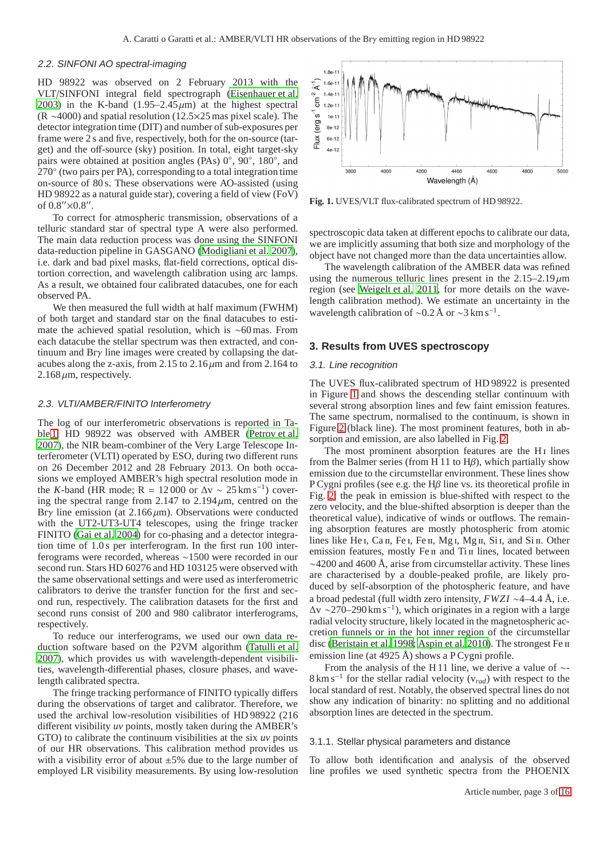#### 2.2. SINFONI AO spectral-imaging

HD 98922 was observed on 2 February 2013 with the VLT/SINFONI integral field spectrograph [\(Eisenhauer et al.](#page-13-31) [2003\)](#page-13-31) in the K-band  $(1.95-2.45 \,\mu\text{m})$  at the highest spectral (R ∼4000) and spatial resolution (12.5×25 mas pixel scale). The detector integration time (DIT) and number of sub-exposures per frame were 2 s and five, respectively, both for the on-source (target) and the off-source (sky) position. In total, eight target-sky pairs were obtained at position angles (PAs) 0°, 90°, 180°, and 270◦ (two pairs per PA), corresponding to a total integration time on-source of 80 s. These observations were AO-assisted (using HD 98922 as a natural guide star), covering a field of view (FoV) of  $0.8''$ × $0.8''$ .

To correct for atmospheric transmission, observations of a telluric standard star of spectral type A were also performed. The main data reduction process was done using the SINFONI data-reduction pipeline in GASGANO [\(Modigliani et al. 2007](#page-13-32)), i.e. dark and bad pixel masks, flat-field corrections, optical distortion correction, and wavelength calibration using arc lamps. As a result, we obtained four calibrated datacubes, one for each observed PA.

We then measured the full width at half maximum (FWHM) of both target and standard star on the final datacubes to estimate the achieved spatial resolution, which is ∼60 mas. From each datacube the stellar spectrum was then extracted, and continuum and Brγ line images were created by collapsing the datacubes along the z-axis, from 2.15 to  $2.16 \mu m$  and from 2.164 to  $2.168 \mu m$ , respectively.

# 2.3. VLTI/AMBER/FINITO Interferometry

The log of our interferometric observations is reported in Table [1.](#page-3-1) HD 98922 was observed with AMBER [\(Petrov et al.](#page-13-33) [2007\)](#page-13-33), the NIR beam-combiner of the Very Large Telescope Interferometer (VLTI) operated by ESO, during two different runs on 26 December 2012 and 28 February 2013. On both occasions we employed AMBER's high spectral resolution mode in the *K*-band (HR mode; R = 12 000 or  $\Delta v \sim 25 \text{ km s}^{-1}$ ) covering the spectral range from 2.147 to  $2.194 \mu m$ , centred on the Bry line emission (at  $2.166 \mu m$ ). Observations were conducted with the UT2-UT3-UT4 telescopes, using the fringe tracker FINITO [\(Gai et al. 2004\)](#page-13-34) for co-phasing and a detector integration time of 1.0 s per interferogram. In the first run 100 interferograms were recorded, whereas ∼1500 were recorded in our second run. Stars HD 60276 and HD 103125 were observed with the same observational settings and were used as interferometric calibrators to derive the transfer function for the first and second run, respectively. The calibration datasets for the first and second runs consist of 200 and 980 calibrator interferograms, respectively.

To reduce our interferograms, we used our own data reduction software based on the P2VM algorithm [\(Tatulli et al.](#page-13-35) [2007\)](#page-13-35), which provides us with wavelength-dependent visibilities, wavelength-differential phases, closure phases, and wavelength calibrated spectra.

The fringe tracking performance of FINITO typically differs during the observations of target and calibrator. Therefore, we used the archival low-resolution visibilities of HD 98922 (216 different visibility *uv* points, mostly taken during the AMBER's GTO) to calibrate the continuum visibilities at the six *uv* points of our HR observations. This calibration method provides us with a visibility error of about  $\pm 5\%$  due to the large number of employed LR visibility measurements. By using low-resolution



<span id="page-2-2"></span>**Fig. 1.** UVES/VLT flux-calibrated spectrum of HD 98922.

spectroscopic data taken at different epochs to calibrate our data, we are implicitly assuming that both size and morphology of the object have not changed more than the data uncertainties allow.

The wavelength calibration of the AMBER data was refined using the numerous telluric lines present in the  $2.15-2.19 \,\mu m$ region (see [Weigelt et al. 2011,](#page-13-7) for more details on the wavelength calibration method). We estimate an uncertainty in the wavelength calibration of ~0.2 Å or ~3 km s<sup>-1</sup>.

#### <span id="page-2-1"></span>**3. Results from UVES spectroscopy**

#### 3.1. Line recognition

The UVES flux-calibrated spectrum of HD 98922 is presented in Figure [1](#page-2-2) and shows the descending stellar continuum with several strong absorption lines and few faint emission features. The same spectrum, normalised to the continuum, is shown in Figure [2](#page-4-0) (black line). The most prominent features, both in absorption and emission, are also labelled in Fig. [2.](#page-4-0)

The most prominent absorption features are the H<sub>I</sub> lines from the Balmer series (from H 11 to  $H\beta$ ), which partially show emission due to the circumstellar environment. These lines show P Cygni profiles (see e.g. the H $\beta$  line vs. its theoretical profile in Fig. [2:](#page-4-0) the peak in emission is blue-shifted with respect to the zero velocity, and the blue-shifted absorption is deeper than the theoretical value), indicative of winds or outflows. The remaining absorption features are mostly photospheric from atomic lines like He I, Ca II, Fe I, Fe II, Mg I, Mg II, Si I, and Si II. Other emission features, mostly Fe II and Ti II lines, located between  $\sim$ 4200 and 4600 Å, arise from circumstellar activity. These lines are characterised by a double-peaked profile, are likely produced by self-absorption of the photospheric feature, and have a broad pedestal (full width zero intensity, *FWZI* ∼4–4.4 Å, i.e.  $\Delta v \sim 270-290 \,\mathrm{km \, s^{-1}}$ ), which originates in a region with a large radial velocity structure, likely located in the magnetospheric accretion funnels or in the hot inner region of the circumstellar disc [\(Beristain et al. 1998;](#page-13-36) [Aspin et al. 2010\)](#page-13-37). The strongest Fe ii emission line (at 4925 Å) shows a P Cygni profile.

From the analysis of the H 11 line, we derive a value of ∼- 8 km s<sup>−</sup><sup>1</sup> for the stellar radial velocity (v*rad*) with respect to the local standard of rest. Notably, the observed spectral lines do not show any indication of binarity: no splitting and no additional absorption lines are detected in the spectrum.

#### <span id="page-2-0"></span>3.1.1. Stellar physical parameters and distance

To allow both identification and analysis of the observed line profiles we used synthetic spectra from the PHOENIX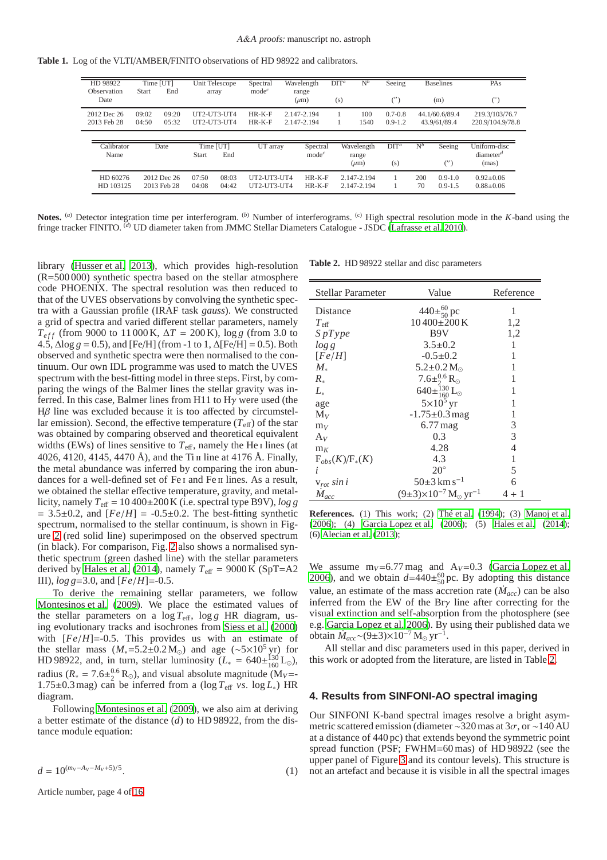**Table 1.** Log of the VLTI/AMBER/FINITO observations of HD 98922 and calibrators.

<span id="page-3-1"></span>

| HD 98922<br>Observation<br>Date | Time [UT]<br>Start | End                        |                           | Unit Telescope<br>array    | Spectral<br>mode <sup>c</sup> | Wavelength<br>range<br>$(\mu m)$ | $DTT^a$<br>(s) | $N^b$                            | Seeing<br>$(^{\prime\prime})$ |           | <b>Baselines</b><br>(m)        | PAs<br>(°)                            |  |
|---------------------------------|--------------------|----------------------------|---------------------------|----------------------------|-------------------------------|----------------------------------|----------------|----------------------------------|-------------------------------|-----------|--------------------------------|---------------------------------------|--|
| 2012 Dec 26<br>2013 Feb 28      | 09:02<br>04:50     | 09:20<br>05:32             |                           | UT2-UT3-UT4<br>UT2-UT3-UT4 | $HR-K-F$<br>$HR-K-F$          | 2.147-2.194<br>2.147-2.194       |                | 100<br>1540                      | $0.7 - 0.8$<br>$0.9 - 1.2$    |           | 44.1/60.6/89.4<br>43.9/61/89.4 | 219.3/103/76.7<br>220.9/104.9/78.8    |  |
| Calibrator<br>Name              |                    | Date                       | Time [UT]<br><b>Start</b> | End                        | UT array                      | Spectral<br>mode <sup>c</sup>    |                | Wavelength<br>range<br>$(\mu m)$ | $DT^{a}$<br>(s)               | $N^b$     | Seeing<br>$(^{\prime\prime})$  | Uniform-disc<br>$diameter^d$<br>(mas) |  |
| HD 60276<br>HD 103125           |                    | 2012 Dec 26<br>2013 Feb 28 | 07:50<br>04:08            | 08:03<br>04:42             | UT2-UT3-UT4<br>UT2-UT3-UT4    | $HR-K-F$<br>$HR-K-F$             |                | 2.147-2.194<br>2.147-2.194       |                               | 200<br>70 | $0.9 - 1.0$<br>$0.9 - 1.5$     | $0.92 + 0.06$<br>$0.88 \pm 0.06$      |  |

**Notes.** (*a*) Detector integration time per interferogram. (*b*) Number of interferograms. (*c*) High spectral resolution mode in the *K*-band using the fringe tracker FINITO. (*d*) UD diameter taken from JMMC Stellar Diameters Catalogue - JSDC [\(Lafrasse et al. 2010](#page-13-38)).

library [\(Husser et al. 2013\)](#page-13-39), which provides high-resolution (R=500 000) synthetic spectra based on the stellar atmosphere code PHOENIX. The spectral resolution was then reduced to that of the UVES observations by convolving the synthetic spectra with a Gaussian profile (IRAF task *gauss*). We constructed a grid of spectra and varied different stellar parameters, namely  $T_{eff}$  (from 9000 to 11 000 K,  $\Delta T = 200$  K), log *g* (from 3.0 to 4.5,  $\triangle log g = 0.5$ ), and [Fe/H] (from -1 to 1,  $\triangle$ [Fe/H] = 0.5). Both observed and synthetic spectra were then normalised to the continuum. Our own IDL programme was used to match the UVES spectrum with the best-fitting model in three steps. First, by comparing the wings of the Balmer lines the stellar gravity was inferred. In this case, Balmer lines from H11 to  $H\gamma$  were used (the Hβ line was excluded because it is too affected by circumstellar emission). Second, the effective temperature  $(T_{\text{eff}})$  of the star was obtained by comparing observed and theoretical equivalent widths (EWs) of lines sensitive to  $T_{\text{eff}}$ , namely the He<sub>I</sub> lines (at 4026, 4120, 4145, 4470 Å), and the Ti II line at 4176 Å. Finally, the metal abundance was inferred by comparing the iron abundances for a well-defined set of Fe I and Fe II lines. As a result, we obtained the stellar effective temperature, gravity, and metallicity, namely  $T_{\text{eff}} = 10\,400\pm200$  K (i.e. spectral type B9V), *log g*  $= 3.5\pm0.2$ , and  $[Fe/H] = -0.5\pm0.2$ . The best-fitting synthetic spectrum, normalised to the stellar continuum, is shown in Figure [2](#page-4-0) (red solid line) superimposed on the observed spectrum (in black). For comparison, Fig. [2](#page-4-0) also shows a normalised synthetic spectrum (green dashed line) with the stellar parameters derived by [Hales et al.](#page-13-15) [\(2014\)](#page-13-15), namely  $T_{\text{eff}} = 9000 \text{ K (SpT=A2)}$ III), *log g*=3.0, and [*Fe*/*H*]=-0.5.

To derive the remaining stellar parameters, we follow [Montesinos et al. \(2009](#page-13-40)). We place the estimated values of the stellar parameters on a  $\log T_{\text{eff}}$ ,  $\log g$  HR diagram, using evolutionary tracks and isochrones from [Siess et al.](#page-13-41) [\(2000\)](#page-13-41) with  $[Fe/H] = -0.5$ . This provides us with an estimate of the stellar mass  $(M_* = 5.2 \pm 0.2 M_{\odot})$  and age (~5×10<sup>5</sup> yr) for HD 98922, and, in turn, stellar luminosity  $(L_* = 640 \pm {}^{130}_{160} L_{\odot})$ , radius ( $R_* = 7.6 \pm \frac{0.6}{2} R_{\odot}$ ), and visual absolute magnitude ( $M_V$ = 1.75±0.3 mag) can be inferred from a (log  $T_{\text{eff}}$  *vs*. log  $L_*$ ) HR diagram.

Following [Montesinos et al.](#page-13-40) [\(2009\)](#page-13-40), we also aim at deriving a better estimate of the distance (*d*) to HD 98922, from the distance module equation:

$$
d = 10^{(m_V - A_V - M_V + 5)/5}.\tag{1}
$$

Article number, page 4 of [16](#page-15-0)

**Table 2.** HD 98922 stellar and disc parameters

<span id="page-3-2"></span>

| <b>Stellar Parameter</b> | Value                                                  | Reference |  |  |
|--------------------------|--------------------------------------------------------|-----------|--|--|
| Distance                 | $440\pm^{60}_{50}$ pc                                  | 1         |  |  |
| $T_{\text{eff}}$         | 10400±200K                                             | 1,2       |  |  |
| SpType                   | B9V                                                    | 1,2       |  |  |
| $\log g$                 | $3.5 \pm 0.2$                                          | 1         |  |  |
| [Fe/H]                   | $-0.5 \pm 0.2$                                         | 1         |  |  |
| $M_{*}$                  | $5.2 \pm 0.2 M_{\odot}$                                |           |  |  |
| $R_{*}$                  |                                                        |           |  |  |
| $L_{*}$                  |                                                        |           |  |  |
| age                      | $5\times10^5$ yr                                       | 1         |  |  |
| $\rm M_{V}$              | $-1.75 \pm 0.3$ mag                                    | 1         |  |  |
| $m_V$                    | $6.77$ mag                                             | 3         |  |  |
| $A_V$                    | 0.3                                                    | 3         |  |  |
| $m_K$                    | 4.28                                                   | 4         |  |  |
| $F_{obs}(K)/F_{*}(K)$    | 4.3                                                    | 1         |  |  |
| i                        | $20^{\circ}$                                           | 5         |  |  |
| $v_{rot}$ sin i          | $50\pm3$ km s <sup>-1</sup>                            | 6         |  |  |
| $\dot{M}_{acc}$          | $(9\pm3)\times10^{-7}$ M <sub>o</sub> yr <sup>-1</sup> | 4 + 1     |  |  |

**References.** (1) This work; (2) [Thé et al.](#page-13-42) [\(1994](#page-13-42)); (3) [Manoj et al.](#page-13-21) [\(2006](#page-13-21)); (4) [Garcia Lopez et al. \(2006\)](#page-13-18); (5) [Hales et al. \(2014\)](#page-13-15); (6) [Alecian et al. \(2013\)](#page-13-25);

We assume  $m_V = 6.77$  mag and  $A_V = 0.3$  [\(Garcia Lopez et al.](#page-13-18) [2006\)](#page-13-18), and we obtain  $d=440\pm^{60}_{50}$  pc. By adopting this distance value, an estimate of the mass accretion rate  $(\dot{M}_{acc})$  can be also inferred from the EW of the Brγ line after correcting for the visual extinction and self-absorption from the photosphere (see e.g. [Garcia Lopez et al. 2006\)](#page-13-18). By using their published data we obtain  $\dot{M}_{acc}$  ~ (9±3)×10<sup>-7</sup> M<sub>☉</sub> yr<sup>-1</sup>.

All stellar and disc parameters used in this paper, derived in this work or adopted from the literature, are listed in Table [2.](#page-3-2)

#### <span id="page-3-0"></span>**4. Results from SINFONI-AO spectral imaging**

Our SINFONI K-band spectral images resolve a bright asymmetric scattered emission (diameter ~320 mas at  $3\sigma$ , or ~140 AU at a distance of 440 pc) that extends beyond the symmetric point spread function (PSF; FWHM=60 mas) of HD 98922 (see the upper panel of Figure [3](#page-5-1) and its contour levels). This structure is not an artefact and because it is visible in all the spectral images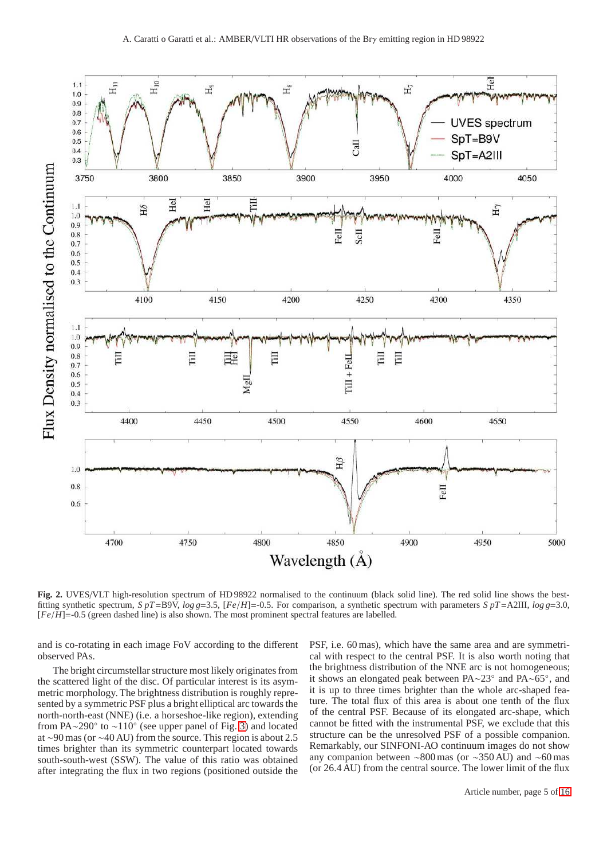

<span id="page-4-0"></span>**Fig. 2.** UVES/VLT high-resolution spectrum of HD 98922 normalised to the continuum (black solid line). The red solid line shows the bestfitting synthetic spectrum, *S pT*=B9V, *log g*=3.5, [*Fe*/*H*]=-0.5. For comparison, a synthetic spectrum with parameters *S pT*=A2III, *log g*=3.0, [*Fe*/*H*]=-0.5 (green dashed line) is also shown. The most prominent spectral features are labelled.

and is co-rotating in each image FoV according to the different observed PAs.

The bright circumstellar structure most likely originates from the scattered light of the disc. Of particular interest is its asymmetric morphology. The brightness distribution is roughly represented by a symmetric PSF plus a bright elliptical arc towards the north-north-east (NNE) (i.e. a horseshoe-like region), extending from PA∼290 $\degree$  to ~110 $\degree$  (see upper panel of Fig. [3\)](#page-5-1) and located at ∼90 mas (or ∼40 AU) from the source. This region is about 2.5 times brighter than its symmetric counterpart located towards south-south-west (SSW). The value of this ratio was obtained after integrating the flux in two regions (positioned outside the

PSF, i.e. 60 mas), which have the same area and are symmetrical with respect to the central PSF. It is also worth noting that the brightness distribution of the NNE arc is not homogeneous; it shows an elongated peak between PA∼23◦ and PA∼65◦ , and it is up to three times brighter than the whole arc-shaped feature. The total flux of this area is about one tenth of the flux of the central PSF. Because of its elongated arc-shape, which cannot be fitted with the instrumental PSF, we exclude that this structure can be the unresolved PSF of a possible companion. Remarkably, our SINFONI-AO continuum images do not show any companion between ∼800 mas (or ∼350 AU) and ∼60 mas (or 26.4 AU) from the central source. The lower limit of the flux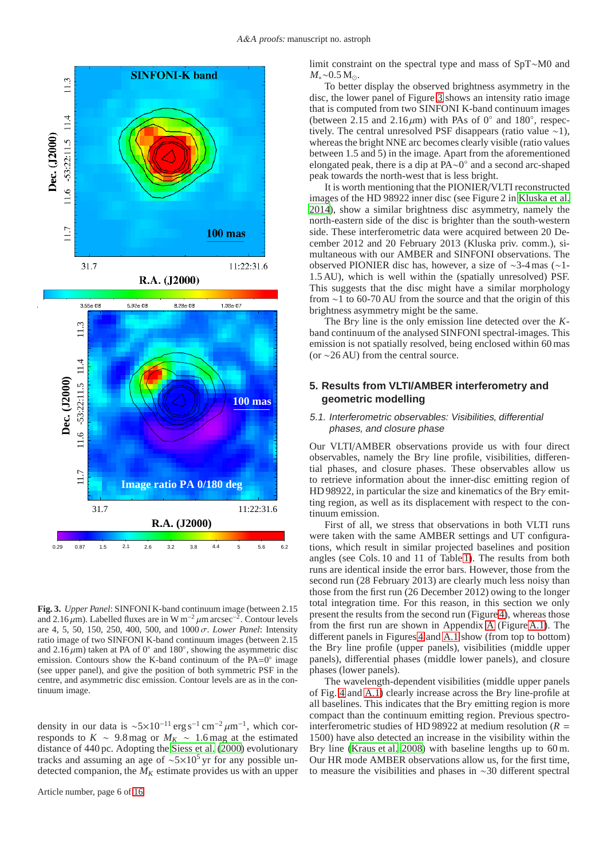

<span id="page-5-1"></span>**Fig. 3.** *Upper Panel*: SINFONI K-band continuum image (between 2.15 and 2.16 $\mu$ m). Labelled fluxes are in W m<sup>-2</sup> $\mu$ m arcsec<sup>-2</sup>. Contour levels are 4, 5, 50, 150, 250, 400, 500, and 1000 σ. *Lower Panel*: Intensity ratio image of two SINFONI K-band continuum images (between 2.15 and 2.16 $\mu$ m) taken at PA of 0 $^{\circ}$  and 180 $^{\circ}$ , showing the asymmetric disc emission. Contours show the K-band continuum of the  $PA=0^\circ$  image (see upper panel), and give the position of both symmetric PSF in the centre, and asymmetric disc emission. Contour levels are as in the continuum image.

density in our data is  $\sim 5 \times 10^{-11}$  erg s<sup>-1</sup> cm<sup>-2</sup> µm<sup>-1</sup>, which corresponds to  $K \sim 9.8$  mag or  $M_K \sim 1.6$  mag at the estimated distance of 440 pc. Adopting the [Siess et al. \(2000\)](#page-13-41) evolutionary tracks and assuming an age of ∼5×10<sup>5</sup> yr for any possible undetected companion, the  $M_K$  estimate provides us with an upper

Article number, page 6 of [16](#page-15-0)

limit constraint on the spectral type and mass of SpT∼M0 and *M*∗∼0.5 M<sub>⊙</sub>.

To better display the observed brightness asymmetry in the disc, the lower panel of Figure [3](#page-5-1) shows an intensity ratio image that is computed from two SINFONI K-band continuum images (between 2.15 and 2.16 $\mu$ m) with PAs of 0 $^{\circ}$  and 180 $^{\circ}$ , respectively. The central unresolved PSF disappears (ratio value ∼1), whereas the bright NNE arc becomes clearly visible (ratio values between 1.5 and 5) in the image. Apart from the aforementioned elongated peak, there is a dip at PA∼0 ◦ and a second arc-shaped peak towards the north-west that is less bright.

It is worth mentioning that the PIONIER/VLTI reconstructed images of the HD 98922 inner disc (see Figure 2 in [Kluska et al.](#page-13-43) [2014\)](#page-13-43), show a similar brightness disc asymmetry, namely the north-eastern side of the disc is brighter than the south-western side. These interferometric data were acquired between 20 December 2012 and 20 February 2013 (Kluska priv. comm.), simultaneous with our AMBER and SINFONI observations. The observed PIONIER disc has, however, a size of ∼3-4 mas (∼1- 1.5 AU), which is well within the (spatially unresolved) PSF. This suggests that the disc might have a similar morphology from ∼1 to 60-70 AU from the source and that the origin of this brightness asymmetry might be the same.

The Brγ line is the only emission line detected over the *K*band continuum of the analysed SINFONI spectral-images. This emission is not spatially resolved, being enclosed within 60 mas (or ∼26 AU) from the central source.

# <span id="page-5-0"></span>**5. Results from VLTI/AMBER interferometry and geometric modelling**

# 5.1. Interferometric observables: Visibilities, differential phases, and closure phase

Our VLTI/AMBER observations provide us with four direct observables, namely the Brγ line profile, visibilities, differential phases, and closure phases. These observables allow us to retrieve information about the inner-disc emitting region of HD 98922, in particular the size and kinematics of the Brγ emitting region, as well as its displacement with respect to the continuum emission.

First of all, we stress that observations in both VLTI runs were taken with the same AMBER settings and UT configurations, which result in similar projected baselines and position angles (see Cols. 10 and 11 of Table [1\)](#page-3-1). The results from both runs are identical inside the error bars. However, those from the second run (28 February 2013) are clearly much less noisy than those from the first run (26 December 2012) owing to the longer total integration time. For this reason, in this section we only present the results from the second run (Figur[e 4\)](#page-6-0), whereas those from the first run are shown in Appendix [A](#page-14-0) (Figure [A.1\)](#page-15-1). The different panels in Figures [4](#page-6-0) and [A.1](#page-15-1) show (from top to bottom) the Brγ line profile (upper panels), visibilities (middle upper panels), differential phases (middle lower panels), and closure phases (lower panels).

The wavelength-dependent visibilities (middle upper panels of Fig. [4](#page-6-0) and [A.1\)](#page-15-1) clearly increase across the Brγ line-profile at all baselines. This indicates that the  $Bry$  emitting region is more compact than the continuum emitting region. Previous spectrointerferometric studies of HD 98922 at medium resolution ( $R =$ 1500) have also detected an increase in the visibility within the Brγ line [\(Kraus et al. 2008\)](#page-13-4) with baseline lengths up to 60 m. Our HR mode AMBER observations allow us, for the first time, to measure the visibilities and phases in ∼30 different spectral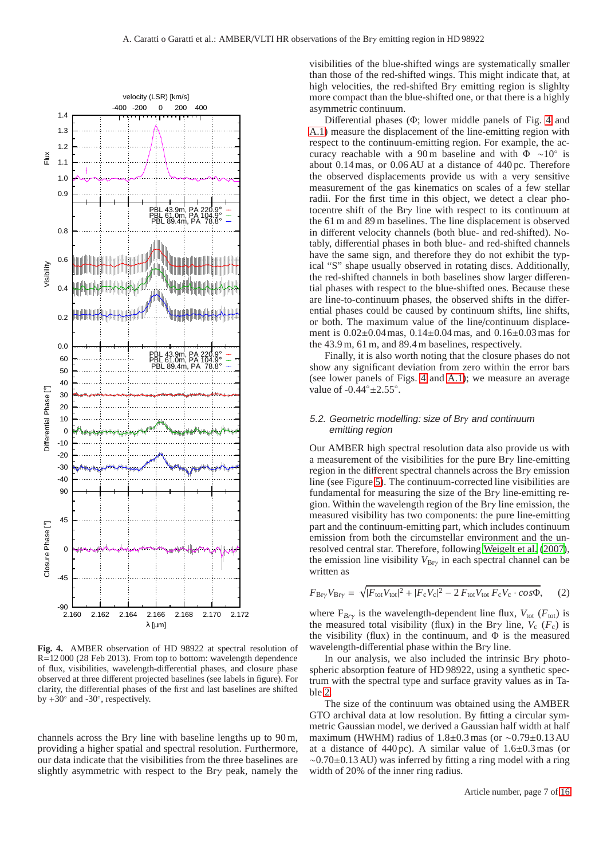

<span id="page-6-0"></span>**Fig. 4.** AMBER observation of HD 98922 at spectral resolution of R=12 000 (28 Feb 2013). From top to bottom: wavelength dependence of flux, visibilities, wavelength-differential phases, and closure phase observed at three different projected baselines (see labels in figure). For clarity, the differential phases of the first and last baselines are shifted by  $+30^\circ$  and  $-30^\circ$ , respectively.

channels across the Br $\gamma$  line with baseline lengths up to 90 m, providing a higher spatial and spectral resolution. Furthermore, our data indicate that the visibilities from the three baselines are slightly asymmetric with respect to the Brγ peak, namely the

visibilities of the blue-shifted wings are systematically smaller than those of the red-shifted wings. This might indicate that, at high velocities, the red-shifted Brγ emitting region is slighlty more compact than the blue-shifted one, or that there is a highly asymmetric continuum.

Differential phases (Φ; lower middle panels of Fig. [4](#page-6-0) and [A.1\)](#page-15-1) measure the displacement of the line-emitting region with respect to the continuum-emitting region. For example, the accuracy reachable with a 90 m baseline and with  $\Phi \sim 10^{\circ}$  is about 0.14 mas, or 0.06 AU at a distance of 440 pc. Therefore the observed displacements provide us with a very sensitive measurement of the gas kinematics on scales of a few stellar radii. For the first time in this object, we detect a clear photocentre shift of the Brγ line with respect to its continuum at the 61 m and 89 m baselines. The line displacement is observed in different velocity channels (both blue- and red-shifted). Notably, differential phases in both blue- and red-shifted channels have the same sign, and therefore they do not exhibit the typical "S" shape usually observed in rotating discs. Additionally, the red-shifted channels in both baselines show larger differential phases with respect to the blue-shifted ones. Because these are line-to-continuum phases, the observed shifts in the differential phases could be caused by continuum shifts, line shifts, or both. The maximum value of the line/continuum displacement is 0.02±0.04 mas, 0.14±0.04 mas, and 0.16±0.03 mas for the 43.9 m, 61 m, and 89.4 m baselines, respectively.

Finally, it is also worth noting that the closure phases do not show any significant deviation from zero within the error bars (see lower panels of Figs. [4](#page-6-0) and [A.1\)](#page-15-1); we measure an average value of  $-0.44° \pm 2.55°$ .

# 5.2. Geometric modelling: size of Brγ and continuum emitting region

Our AMBER high spectral resolution data also provide us with a measurement of the visibilities for the pure Brγ line-emitting region in the different spectral channels across the Brγ emission line (see Figure [5\)](#page-7-1). The continuum-corrected line visibilities are fundamental for measuring the size of the Brγ line-emitting region. Within the wavelength region of the Br $\gamma$  line emission, the measured visibility has two components: the pure line-emitting part and the continuum-emitting part, which includes continuum emission from both the circumstellar environment and the unresolved central star. Therefore, following [Weigelt et al.](#page-13-44) [\(2007\)](#page-13-44), the emission line visibility  $V_{\text{Bry}}$  in each spectral channel can be written as

$$
F_{\rm Bry} V_{\rm Bry} = \sqrt{|F_{\rm tot} V_{\rm tot}|^2 + |F_{\rm c} V_{\rm c}|^2 - 2 F_{\rm tot} V_{\rm tot} F_{\rm c} V_{\rm c} \cdot \cos \Phi},\tag{2}
$$

where  $F_{Bry}$  is the wavelength-dependent line flux,  $V_{\text{tot}}$  ( $F_{\text{tot}}$ ) is the measured total visibility (flux) in the Br $\gamma$  line,  $V_c$  ( $F_c$ ) is the visibility (flux) in the continuum, and  $\Phi$  is the measured wavelength-differential phase within the Brγ line.

In our analysis, we also included the intrinsic Brγ photospheric absorption feature of HD 98922, using a synthetic spectrum with the spectral type and surface gravity values as in Table [2.](#page-3-2)

The size of the continuum was obtained using the AMBER GTO archival data at low resolution. By fitting a circular symmetric Gaussian model, we derived a Gaussian half width at half maximum (HWHM) radius of 1.8±0.3 mas (or ∼0.79±0.13 AU at a distance of  $440 \text{ pc}$ ). A similar value of  $1.6 \pm 0.3 \text{ mas}$  (or ∼0.70±0.13 AU) was inferred by fitting a ring model with a ring width of 20% of the inner ring radius.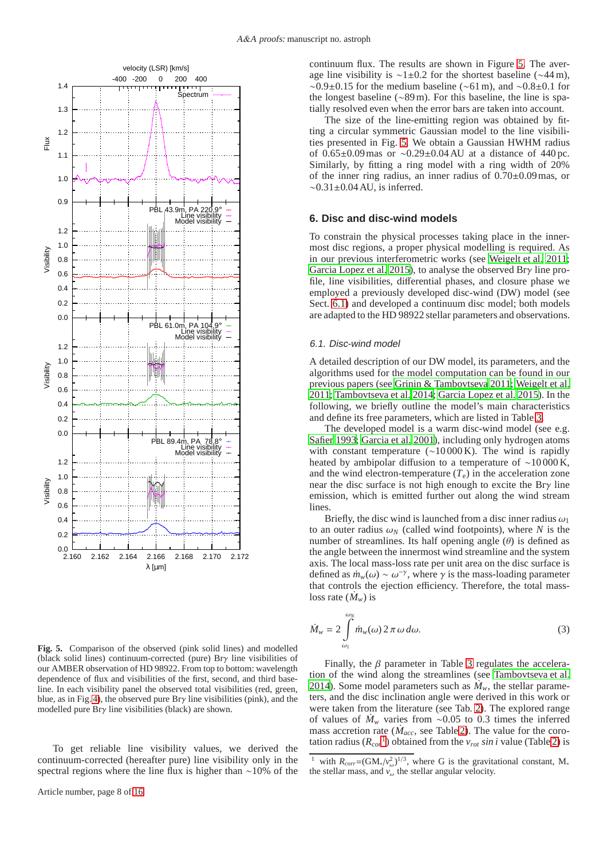

<span id="page-7-1"></span>**Fig. 5.** Comparison of the observed (pink solid lines) and modelled (black solid lines) continuum-corrected (pure) Brγ line visibilities of our AMBER observation of HD 98922. From top to bottom: wavelength dependence of flux and visibilities of the first, second, and third baseline. In each visibility panel the observed total visibilities (red, green, blue, as in Fig. [4\)](#page-6-0), the observed pure Br $\gamma$  line visibilities (pink), and the modelled pure Brγ line visibilities (black) are shown.

To get reliable line visibility values, we derived the continuum-corrected (hereafter pure) line visibility only in the spectral regions where the line flux is higher than ∼10% of the continuum flux. The results are shown in Figure [5.](#page-7-1) The average line visibility is ∼1±0.2 for the shortest baseline (∼44 m),  $\sim$ 0.9±0.15 for the medium baseline ( $\sim$ 61 m), and  $\sim$ 0.8±0.1 for the longest baseline (∼89 m). For this baseline, the line is spatially resolved even when the error bars are taken into account.

The size of the line-emitting region was obtained by fitting a circular symmetric Gaussian model to the line visibilities presented in Fig. [5.](#page-7-1) We obtain a Gaussian HWHM radius of 0.65±0.09 mas or ∼0.29±0.04 AU at a distance of 440 pc. Similarly, by fitting a ring model with a ring width of 20% of the inner ring radius, an inner radius of 0.70±0.09 mas, or ∼0.31±0.04 AU, is inferred.

# <span id="page-7-0"></span>**6. Disc and disc-wind models**

To constrain the physical processes taking place in the innermost disc regions, a proper physical modelling is required. As in our previous interferometric works (see [Weigelt et al. 2011;](#page-13-7) [Garcia Lopez et al. 2015\)](#page-13-10), to analyse the observed Brγ line profile, line visibilities, differential phases, and closure phase we employed a previously developed disc-wind (DW) model (see Sect. [6.1\)](#page-7-2) and developed a continuum disc model; both models are adapted to the HD 98922 stellar parameters and observations.

#### <span id="page-7-2"></span>6.1. Disc-wind model

A detailed description of our DW model, its parameters, and the algorithms used for the model computation can be found in our previous papers (see [Grinin & Tambovtseva 2011;](#page-13-12) [Weigelt et al.](#page-13-7) [2011;](#page-13-7) [Tambovtseva et al. 2014;](#page-13-13) [Garcia Lopez et al. 2015\)](#page-13-10). In the following, we briefly outline the model's main characteristics and define its free parameters, which are listed in Table [3.](#page-9-0)

The developed model is a warm disc-wind model (see e.g. [Safier 1993](#page-13-45); [Garcia et al. 2001\)](#page-13-46), including only hydrogen atoms with constant temperature (∼10 000 K). The wind is rapidly heated by ambipolar diffusion to a temperature of ~10000 K, and the wind electron-temperature  $(T_e)$  in the acceleration zone near the disc surface is not high enough to excite the Brγ line emission, which is emitted further out along the wind stream lines

Briefly, the disc wind is launched from a disc inner radius  $\omega_1$ to an outer radius  $\omega_N$  (called wind footpoints), where *N* is the number of streamlines. Its half opening angle  $(\theta)$  is defined as the angle between the innermost wind streamline and the system axis. The local mass-loss rate per unit area on the disc surface is defined as  $\dot{m}_w(\omega) \sim \omega^{-\gamma}$ , where  $\gamma$  is the mass-loading parameter that controls the ejection efficiency. Therefore, the total massloss rate  $(\dot{M}_w)$  is

$$
\dot{M}_w = 2 \int_{\omega_1}^{\omega_N} \dot{m}_w(\omega) 2 \pi \omega \, d\omega. \tag{3}
$$

Finally, the  $\beta$  parameter in Table [3](#page-9-0) regulates the acceleration of the wind along the streamlines (see [Tambovtseva et al.](#page-13-13) [2014\)](#page-13-13). Some model parameters such as  $\dot{M}_w$ , the stellar parameters, and the disc inclination angle were derived in this work or were taken from the literature (see Tab. [2\)](#page-3-2). The explored range of values of  $\dot{M}_w$  varies from ~0.05 to 0.3 times the inferred mass accretion rate ( $\dot{M}_{acc}$ , see Table [2\)](#page-3-2). The value for the corotation radius  $(R_{cor}^{-1})$  $(R_{cor}^{-1})$  $(R_{cor}^{-1})$  obtained from the  $v_{rot} \sin i$  value (Table [2\)](#page-3-2) is

<span id="page-7-3"></span><sup>&</sup>lt;sup>1</sup> with  $R_{corr} = (GM_*/v_\omega^2)^{1/3}$ , where G is the gravitational constant, M<sub>\*</sub> the stellar mass, and  $v_{\omega}$  the stellar angular velocity.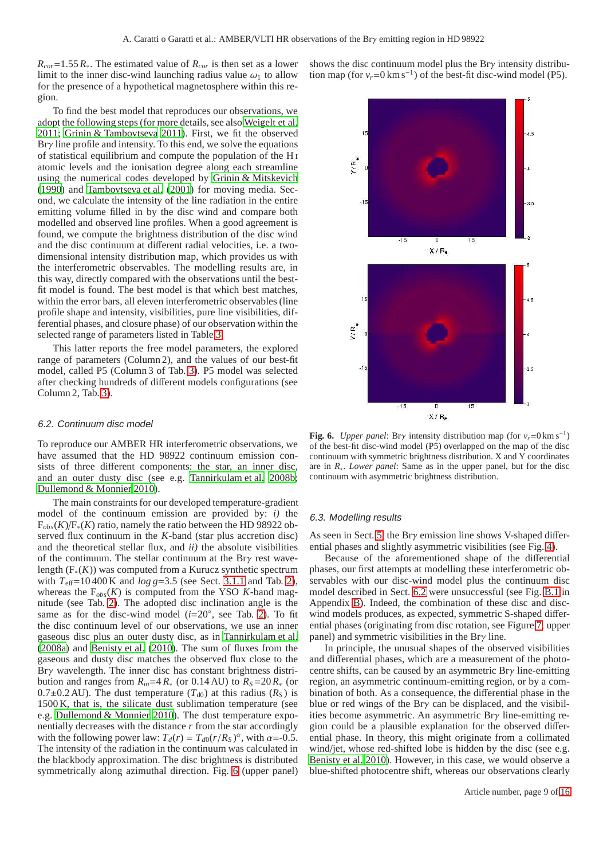$R_{cor} = 1.55 R_*$ . The estimated value of  $R_{cor}$  is then set as a lower limit to the inner disc-wind launching radius value  $\omega_1$  to allow for the presence of a hypothetical magnetosphere within this region.

To find the best model that reproduces our observations, we adopt the following steps (for more details, see also [Weigelt et al.](#page-13-7) [2011;](#page-13-7) [Grinin & Tambovtseva 2011](#page-13-12)). First, we fit the observed Brγ line profile and intensity. To this end, we solve the equations of statistical equilibrium and compute the population of the H i atomic levels and the ionisation degree along each streamline using the numerical codes developed by [Grinin & Mitskevich](#page-13-47) [\(1990](#page-13-47)) and [Tambovtseva et al.](#page-13-48) [\(2001\)](#page-13-48) for moving media. Second, we calculate the intensity of the line radiation in the entire emitting volume filled in by the disc wind and compare both modelled and observed line profiles. When a good agreement is found, we compute the brightness distribution of the disc wind and the disc continuum at different radial velocities, i.e. a twodimensional intensity distribution map, which provides us with the interferometric observables. The modelling results are, in this way, directly compared with the observations until the bestfit model is found. The best model is that which best matches, within the error bars, all eleven interferometric observables (line profile shape and intensity, visibilities, pure line visibilities, differential phases, and closure phase) of our observation within the selected range of parameters listed in Table [3.](#page-9-0)

This latter reports the free model parameters, the explored range of parameters (Column 2), and the values of our best-fit model, called P5 (Column 3 of Tab. [3\)](#page-9-0). P5 model was selected after checking hundreds of different models configurations (see Column 2, Tab. [3\)](#page-9-0).

#### <span id="page-8-1"></span>6.2. Continuum disc model

To reproduce our AMBER HR interferometric observations, we have assumed that the HD 98922 continuum emission consists of three different components: the star, an inner disc, and an outer dusty disc (see e.g. [Tannirkulam et al. 2008b](#page-13-49); [Dullemond & Monnier 2010](#page-13-50)).

The main constraints for our developed temperature-gradient model of the continuum emission are provided by: *i)* the F*obs*(*K*)/F∗(*K*) ratio, namely the ratio between the HD 98922 observed flux continuum in the *K*-band (star plus accretion disc) and the theoretical stellar flux, and *ii)* the absolute visibilities of the continuum. The stellar continuum at the Brγ rest wavelength (F∗(*K*)) was computed from a Kurucz synthetic spectrum with  $T_{\text{eff}}$ =10 400 K and *log g*=3.5 (see Sect. [3.1.1](#page-2-0) and Tab. [2\)](#page-3-2), whereas the  $F_{obs}(K)$  is computed from the YSO  $K$ -band magnitude (see Tab. [2\)](#page-3-2). The adopted disc inclination angle is the same as for the disc-wind model  $(i=20^\circ,$  see Tab. [2\)](#page-3-2). To fit the disc continuum level of our observations, we use an inner gaseous disc plus an outer dusty disc, as in [Tannirkulam et al.](#page-13-51) [\(2008a\)](#page-13-51) and [Benisty et al.](#page-13-52) [\(2010\)](#page-13-52). The sum of fluxes from the gaseous and dusty disc matches the observed flux close to the Brγ wavelength. The inner disc has constant brightness distribution and ranges from  $R_{in} = 4 R_*$  (or 0.14 AU) to  $R_S = 20 R_*$  (or 0.7 $\pm$ 0.2 AU). The dust temperature ( $T_{d0}$ ) at this radius ( $R_S$ ) is 1500 K, that is, the silicate dust sublimation temperature (see e.g. [Dullemond & Monnier 2010](#page-13-50)). The dust temperature exponentially decreases with the distance *r* from the star accordingly with the following power law:  $T_d(r) = T_{d0}(r/R_s)^{\alpha}$ , with  $\alpha = -0.5$ . The intensity of the radiation in the continuum was calculated in the blackbody approximation. The disc brightness is distributed symmetrically along azimuthal direction. Fig. [6](#page-8-0) (upper panel) shows the disc continuum model plus the Bry intensity distribution map (for  $v_r = 0 \text{ km s}^{-1}$ ) of the best-fit disc-wind model (P5).



<span id="page-8-0"></span>**Fig. 6.** *Upper panel*: Bry intensity distribution map (for  $v_r = 0 \text{ km s}^{-1}$ ) of the best-fit disc-wind model (P5) overlapped on the map of the disc continuum with symmetric brightness distribution. X and Y coordinates are in *R*∗. *Lower panel*: Same as in the upper panel, but for the disc continuum with asymmetric brightness distribution.

#### 6.3. Modelling results

As seen in Sect. [5,](#page-5-0) the Brγ emission line shows V-shaped differential phases and slightly asymmetric visibilities (see Fig. [4\)](#page-6-0).

Because of the aforementioned shape of the differential phases, our first attempts at modelling these interferometric observables with our disc-wind model plus the continuum disc model described in Sect. [6.2](#page-8-1) were unsuccessful (see Fig. [B.1](#page-15-2) in Appendix [B\)](#page-14-1). Indeed, the combination of these disc and discwind models produces, as expected, symmetric S-shaped differential phases (originating from disc rotation, see Figure [7,](#page-10-1) upper panel) and symmetric visibilities in the Brγ line.

In principle, the unusual shapes of the observed visibilities and differential phases, which are a measurement of the photocentre shifts, can be caused by an asymmetric Brγ line-emitting region, an asymmetric continuum-emitting region, or by a combination of both. As a consequence, the differential phase in the blue or red wings of the Br $\gamma$  can be displaced, and the visibilities become asymmetric. An asymmetric Brγ line-emitting region could be a plausible explanation for the observed differential phase. In theory, this might originate from a collimated wind/jet, whose red-shifted lobe is hidden by the disc (see e.g. [Benisty et al. 2010\)](#page-13-52). However, in this case, we would observe a blue-shifted photocentre shift, whereas our observations clearly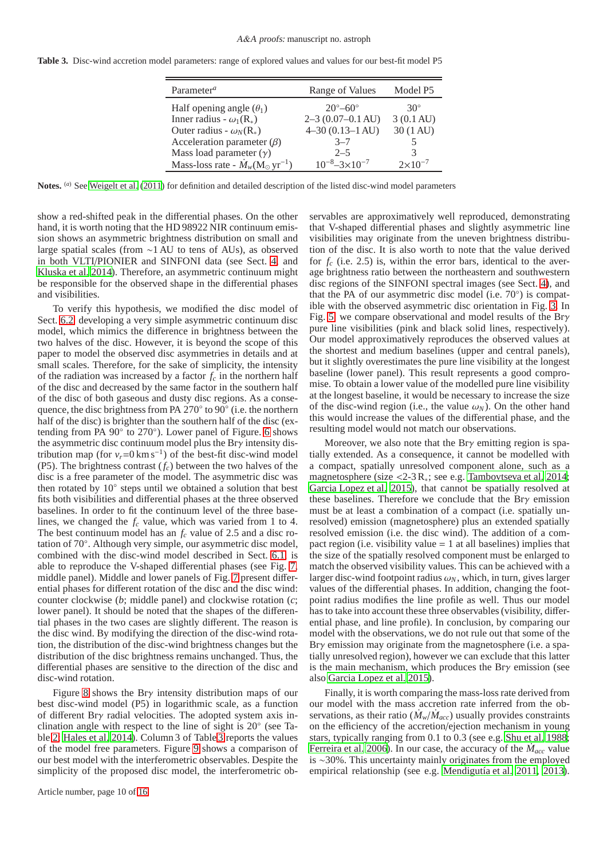<span id="page-9-0"></span>

|  |  | Table 3. Disc-wind accretion model parameters: range of explored values and values for our best-fit model P5 |  |  |  |  |  |  |  |  |  |
|--|--|--------------------------------------------------------------------------------------------------------------|--|--|--|--|--|--|--|--|--|
|--|--|--------------------------------------------------------------------------------------------------------------|--|--|--|--|--|--|--|--|--|

| Parameter <sup><math>a</math></sup>                            | Range of Values              | Model P5            |
|----------------------------------------------------------------|------------------------------|---------------------|
| Half opening angle $(\theta_1)$                                | $20^{\circ} - 60^{\circ}$    | $30^\circ$          |
| Inner radius - $\omega_1(R_*)$                                 | $2-3$ (0.07-0.1 AU)          | $3(0.1 \text{ AU})$ |
| Outer radius - $\omega_N(R_*)$                                 | $4-30(0.13-1 AU)$            | 30 (1 AU)           |
| Acceleration parameter $(\beta)$                               | $3 - 7$                      |                     |
| Mass load parameter $(y)$                                      | $2 - 5$                      |                     |
| Mass-loss rate - $\dot{M}_w(\text{M}_{\odot} \text{ yr}^{-1})$ | $10^{-8} - 3 \times 10^{-7}$ | $2 \times 10^{-7}$  |

**Notes.** (*a*) See [Weigelt et al.](#page-13-7) [\(2011](#page-13-7)) for definition and detailed description of the listed disc-wind model parameters

show a red-shifted peak in the differential phases. On the other hand, it is worth noting that the HD 98922 NIR continuum emission shows an asymmetric brightness distribution on small and large spatial scales (from ∼1 AU to tens of AUs), as observed in both VLTI/PIONIER and SINFONI data (see Sect. [4,](#page-3-0) and [Kluska et al. 2014\)](#page-13-43). Therefore, an asymmetric continuum might be responsible for the observed shape in the differential phases and visibilities.

To verify this hypothesis, we modified the disc model of Sect. [6.2,](#page-8-1) developing a very simple asymmetric continuum disc model, which mimics the difference in brightness between the two halves of the disc. However, it is beyond the scope of this paper to model the observed disc asymmetries in details and at small scales. Therefore, for the sake of simplicity, the intensity of the radiation was increased by a factor  $f_c$  in the northern half of the disc and decreased by the same factor in the southern half of the disc of both gaseous and dusty disc regions. As a consequence, the disc brightness from PA  $270^{\circ}$  to  $90^{\circ}$  (i.e. the northern half of the disc) is brighter than the southern half of the disc (ex-tending from PA 90° to 270°). Lower panel of Figure. [6](#page-8-0) shows the asymmetric disc continuum model plus the Brγ intensity distribution map (for  $v_r = 0 \text{ km s}^{-1}$ ) of the best-fit disc-wind model (P5). The brightness contrast (*fc*) between the two halves of the disc is a free parameter of the model. The asymmetric disc was then rotated by 10° steps until we obtained a solution that best fits both visibilities and differential phases at the three observed baselines. In order to fit the continuum level of the three baselines, we changed the *f<sup>c</sup>* value, which was varied from 1 to 4. The best continuum model has an *f<sup>c</sup>* value of 2.5 and a disc rotation of 70◦ . Although very simple, our asymmetric disc model, combined with the disc-wind model described in Sect. [6.1,](#page-7-2) is able to reproduce the V-shaped differential phases (see Fig. [7,](#page-10-1) middle panel). Middle and lower panels of Fig. [7](#page-10-1) present differential phases for different rotation of the disc and the disc wind: counter clockwise (*b*; middle panel) and clockwise rotation (*c*; lower panel). It should be noted that the shapes of the differential phases in the two cases are slightly different. The reason is the disc wind. By modifying the direction of the disc-wind rotation, the distribution of the disc-wind brightness changes but the distribution of the disc brightness remains unchanged. Thus, the differential phases are sensitive to the direction of the disc and disc-wind rotation.

Figure [8](#page-10-2) shows the Brγ intensity distribution maps of our best disc-wind model (P5) in logarithmic scale, as a function of different Brγ radial velocities. The adopted system axis inclination angle with respect to the line of sight is 20◦ (see Table [2;](#page-3-2) [Hales et al. 2014\)](#page-13-15). Column 3 of Table [3](#page-9-0) reports the values of the model free parameters. Figure [9](#page-11-0) shows a comparison of our best model with the interferometric observables. Despite the simplicity of the proposed disc model, the interferometric ob-

servables are approximatively well reproduced, demonstrating that V-shaped differential phases and slightly asymmetric line visibilities may originate from the uneven brightness distribution of the disc. It is also worth to note that the value derived for  $f_c$  (i.e. 2.5) is, within the error bars, identical to the average brightness ratio between the northeastern and southwestern disc regions of the SINFONI spectral images (see Sect. [4\)](#page-3-0), and that the PA of our asymmetric disc model (i.e. 70°) is compatible with the observed asymmetric disc orientation in Fig. [3.](#page-5-1) In Fig. [5,](#page-7-1) we compare observational and model results of the Brγ pure line visibilities (pink and black solid lines, respectively). Our model approximatively reproduces the observed values at the shortest and medium baselines (upper and central panels), but it slightly overestimates the pure line visibility at the longest baseline (lower panel). This result represents a good compromise. To obtain a lower value of the modelled pure line visibility at the longest baseline, it would be necessary to increase the size of the disc-wind region (i.e., the value  $\omega_N$ ). On the other hand this would increase the values of the differential phase, and the resulting model would not match our observations.

Moreover, we also note that the Br $\gamma$  emitting region is spatially extended. As a consequence, it cannot be modelled with a compact, spatially unresolved component alone, such as a magnetosphere (size <2-3 R∗; see e.g. [Tambovtseva et al. 2014;](#page-13-13) [Garcia Lopez et al. 2015](#page-13-10)), that cannot be spatially resolved at these baselines. Therefore we conclude that the Brγ emission must be at least a combination of a compact (i.e. spatially unresolved) emission (magnetosphere) plus an extended spatially resolved emission (i.e. the disc wind). The addition of a compact region (i.e. visibility value  $= 1$  at all baselines) implies that the size of the spatially resolved component must be enlarged to match the observed visibility values. This can be achieved with a larger disc-wind footpoint radius  $\omega_N$ , which, in turn, gives larger values of the differential phases. In addition, changing the footpoint radius modifies the line profile as well. Thus our model has to take into account these three observables (visibility, differential phase, and line profile). In conclusion, by comparing our model with the observations, we do not rule out that some of the Brγ emission may originate from the magnetosphere (i.e. a spatially unresolved region), however we can exclude that this latter is the main mechanism, which produces the Br $\gamma$  emission (see also [Garcia Lopez et al. 2015](#page-13-10)).

Finally, it is worth comparing the mass-loss rate derived from our model with the mass accretion rate inferred from the observations, as their ratio ( $\dot{M}_w/\dot{M}_{acc}$ ) usually provides constraints on the efficiency of the accretion/ejection mechanism in young stars, typically ranging from 0.1 to 0.3 (see e.g. [Shu et al. 1988;](#page-13-53) [Ferreira et al. 2006\)](#page-13-54). In our case, the accuracy of the  $\dot{M}_{acc}$  value is ∼30%. This uncertainty mainly originates from the employed empirical relationship (see e.g. [Mendigutía et al. 2011](#page-13-55), [2013\)](#page-13-56).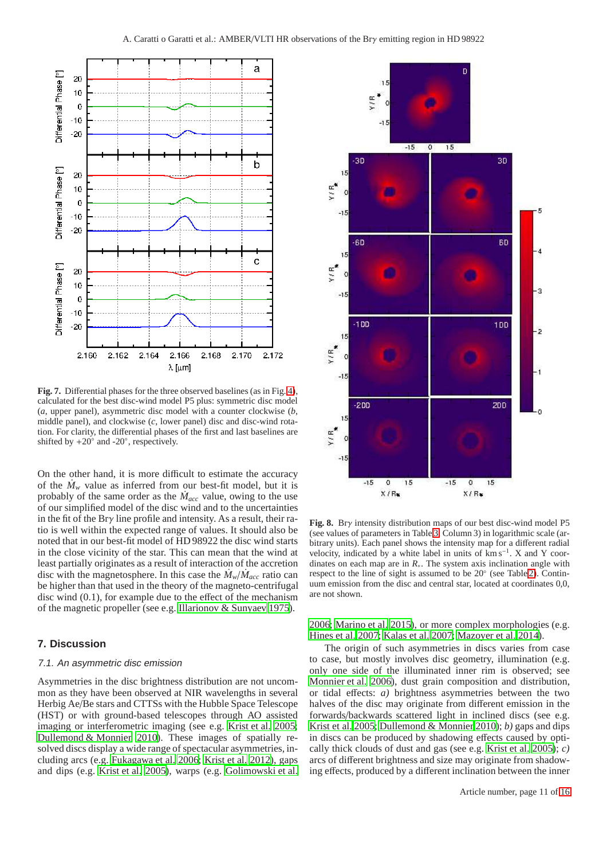

<span id="page-10-1"></span>**Fig. 7.** Differential phases for the three observed baselines (as in Fig. [4\)](#page-6-0), calculated for the best disc-wind model P5 plus: symmetric disc model (*a*, upper panel), asymmetric disc model with a counter clockwise (*b*, middle panel), and clockwise (*c*, lower panel) disc and disc-wind rotation. For clarity, the differential phases of the first and last baselines are shifted by  $+20°$  and  $-20°$ , respectively.

On the other hand, it is more difficult to estimate the accuracy of the  $\dot{M}_w$  value as inferred from our best-fit model, but it is probably of the same order as the  $\dot{M}_{acc}$  value, owing to the use of our simplified model of the disc wind and to the uncertainties in the fit of the Brγ line profile and intensity. As a result, their ratio is well within the expected range of values. It should also be noted that in our best-fit model of HD 98922 the disc wind starts in the close vicinity of the star. This can mean that the wind at least partially originates as a result of interaction of the accretion disc with the magnetosphere. In this case the  $\dot{M}_w/\dot{M}_{acc}$  ratio can be higher than that used in the theory of the magneto-centrifugal disc wind (0.1), for example due to the effect of the mechanism of the magnetic propeller (see e.g. [Illarionov & Sunyaev 1975\)](#page-13-57).

# <span id="page-10-0"></span>**7. Discussion**

#### 7.1. An asymmetric disc emission

Asymmetries in the disc brightness distribution are not uncommon as they have been observed at NIR wavelengths in several Herbig Ae/Be stars and CTTSs with the Hubble Space Telescope (HST) or with ground-based telescopes through AO assisted imaging or interferometric imaging (see e.g. [Krist et al. 2005](#page-13-58); [Dullemond & Monnier 2010](#page-13-50)). These images of spatially resolved discs display a wide range of spectacular asymmetries, including arcs (e.g. [Fukagawa et al. 2006;](#page-13-59) [Krist et al. 2012\)](#page-13-60), gaps and dips (e.g. [Krist et al. 2005\)](#page-13-58), warps (e.g. [Golimowski et al.](#page-13-61)



<span id="page-10-2"></span>**Fig. 8.** Brγ intensity distribution maps of our best disc-wind model P5 (see values of parameters in Table [3,](#page-9-0) Column 3) in logarithmic scale (arbitrary units). Each panel shows the intensity map for a different radial velocity, indicated by a white label in units of km s<sup>−</sup><sup>1</sup> . X and Y coordinates on each map are in *R*∗. The system axis inclination angle with respect to the line of sight is assumed to be 20◦ (see Table [2\)](#page-3-2). Continuum emission from the disc and central star, located at coordinates 0,0, are not shown.

[2006;](#page-13-61) [Marino et al. 2015\)](#page-13-62), or more complex morphologies (e.g. [Hines et al. 2007;](#page-13-63) [Kalas et al. 2007](#page-13-64); [Mazoyer et al. 2014\)](#page-13-65).

The origin of such asymmetries in discs varies from case to case, but mostly involves disc geometry, illumination (e.g. only one side of the illuminated inner rim is observed; see [Monnier et al. 2006\)](#page-13-66), dust grain composition and distribution, or tidal effects: *a)* brightness asymmetries between the two halves of the disc may originate from different emission in the forwards/backwards scattered light in inclined discs (see e.g. [Krist et al. 2005](#page-13-58); [Dullemond & Monnier 2010](#page-13-50)); *b)* gaps and dips in discs can be produced by shadowing effects caused by optically thick clouds of dust and gas (see e.g. [Krist et al. 2005\)](#page-13-58); *c)* arcs of different brightness and size may originate from shadowing effects, produced by a different inclination between the inner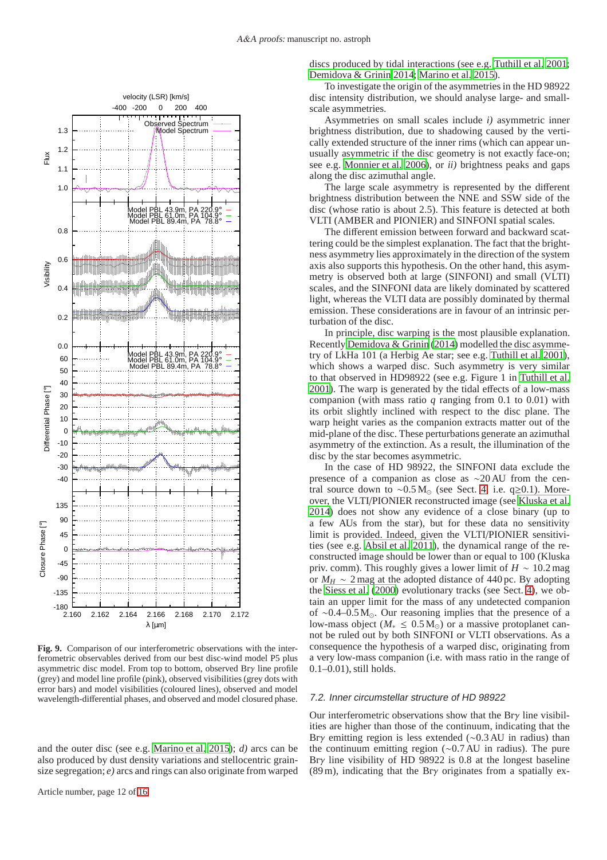

<span id="page-11-0"></span>**Fig. 9.** Comparison of our interferometric observations with the interferometric observables derived from our best disc-wind model P5 plus asymmetric disc model. From top to bottom, observed Brγ line profile (grey) and model line profile (pink), observed visibilities (grey dots with error bars) and model visibilities (coloured lines), observed and model wavelength-differential phases, and observed and model closured phase.

and the outer disc (see e.g. [Marino et al. 2015\)](#page-13-62); *d)* arcs can be also produced by dust density variations and stellocentric grainsize segregation; *e)* arcs and rings can also originate from warped discs produced by tidal interactions (see e.g. [Tuthill et al. 2001;](#page-13-67) [Demidova & Grinin 2014;](#page-13-68) [Marino et al. 2015\)](#page-13-62).

To investigate the origin of the asymmetries in the HD 98922 disc intensity distribution, we should analyse large- and smallscale asymmetries.

Asymmetries on small scales include *i)* asymmetric inner brightness distribution, due to shadowing caused by the vertically extended structure of the inner rims (which can appear unusually asymmetric if the disc geometry is not exactly face-on; see e.g. [Monnier et al. 2006\)](#page-13-66), or *ii)* brightness peaks and gaps along the disc azimuthal angle.

The large scale asymmetry is represented by the different brightness distribution between the NNE and SSW side of the disc (whose ratio is about 2.5). This feature is detected at both VLTI (AMBER and PIONIER) and SINFONI spatial scales.

The different emission between forward and backward scattering could be the simplest explanation. The fact that the brightness asymmetry lies approximately in the direction of the system axis also supports this hypothesis. On the other hand, this asymmetry is observed both at large (SINFONI) and small (VLTI) scales, and the SINFONI data are likely dominated by scattered light, whereas the VLTI data are possibly dominated by thermal emission. These considerations are in favour of an intrinsic perturbation of the disc.

In principle, disc warping is the most plausible explanation. Recently [Demidova & Grinin](#page-13-68) [\(2014\)](#page-13-68) modelled the disc asymmetry of LkHa 101 (a Herbig Ae star; see e.g. [Tuthill et al. 2001\)](#page-13-67), which shows a warped disc. Such asymmetry is very similar to that observed in HD98922 (see e.g. Figure 1 in [Tuthill et al.](#page-13-67) [2001\)](#page-13-67). The warp is generated by the tidal effects of a low-mass companion (with mass ratio *q* ranging from 0.1 to 0.01) with its orbit slightly inclined with respect to the disc plane. The warp height varies as the companion extracts matter out of the mid-plane of the disc. These perturbations generate an azimuthal asymmetry of the extinction. As a result, the illumination of the disc by the star becomes asymmetric.

In the case of HD 98922, the SINFONI data exclude the presence of a companion as close as ∼20 AU from the cen-tral source down to ~0.5 M<sub>☉</sub> (see Sect. [4,](#page-3-0) i.e. q≥0.1). Moreover, the VLTI/PIONIER reconstructed image (see [Kluska et al.](#page-13-43) [2014\)](#page-13-43) does not show any evidence of a close binary (up to a few AUs from the star), but for these data no sensitivity limit is provided. Indeed, given the VLTI/PIONIER sensitivities (see e.g. [Absil et al. 2011\)](#page-13-69), the dynamical range of the reconstructed image should be lower than or equal to 100 (Kluska priv. comm). This roughly gives a lower limit of *H* ∼ 10.2 mag or  $M_H \sim 2$  mag at the adopted distance of 440 pc. By adopting the [Siess et al.](#page-13-41) [\(2000\)](#page-13-41) evolutionary tracks (see Sect. [4\)](#page-3-0), we obtain an upper limit for the mass of any undetected companion of ∼0.4–0.5 M⊙. Our reasoning implies that the presence of a low-mass object ( $M_* \leq 0.5$  M<sub>☉</sub>) or a massive protoplanet cannot be ruled out by both SINFONI or VLTI observations. As a consequence the hypothesis of a warped disc, originating from a very low-mass companion (i.e. with mass ratio in the range of 0.1–0.01), still holds.

# 7.2. Inner circumstellar structure of HD 98922

Our interferometric observations show that the Brγ line visibilities are higher than those of the continuum, indicating that the Brγ emitting region is less extended (∼0.3 AU in radius) than the continuum emitting region (∼0.7 AU in radius). The pure Brγ line visibility of HD 98922 is 0.8 at the longest baseline (89 m), indicating that the Brγ originates from a spatially ex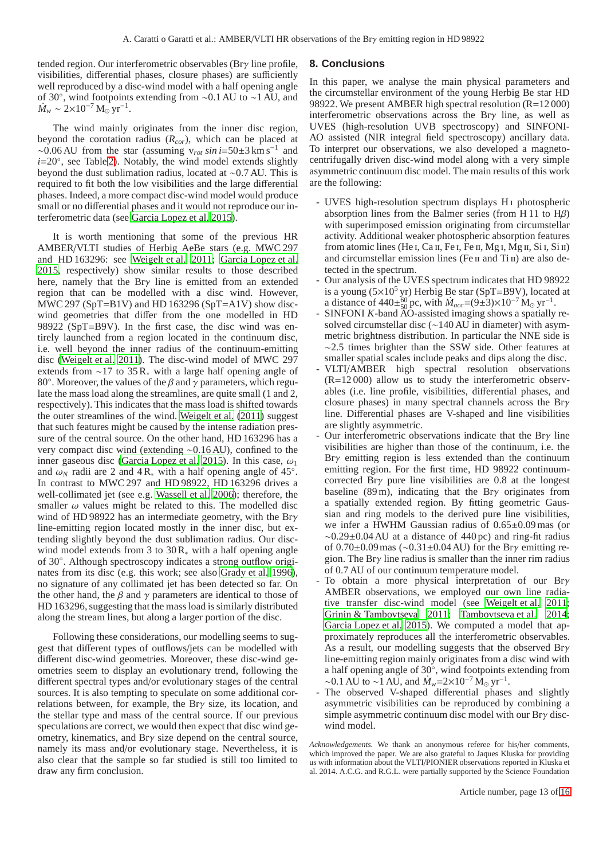tended region. Our interferometric observables (Brγ line profile, visibilities, differential phases, closure phases) are sufficiently well reproduced by a disc-wind model with a half opening angle of 30◦ , wind footpoints extending from ∼0.1 AU to ∼1 AU, and  $\dot{M}_w \sim 2 \times 10^{-7} \,\mathrm{M}_\odot \,\mathrm{yr}^{-1}$ .

The wind mainly originates from the inner disc region, beyond the corotation radius (*Rcor*), which can be placed at ~0.06 AU from the star (assuming  $v_{rot} \sin i = 50 \pm 3 \text{ km s}^{-1}$  and *i*=20◦ , see Table [2\)](#page-3-2). Notably, the wind model extends slightly beyond the dust sublimation radius, located at ∼0.7 AU. This is required to fit both the low visibilities and the large differential phases. Indeed, a more compact disc-wind model would produce small or no differential phases and it would not reproduce our interferometric data (see [Garcia Lopez et al. 2015](#page-13-10)).

It is worth mentioning that some of the previous HR AMBER/VLTI studies of Herbig AeBe stars (e.g. MWC 297 and HD 163296: see [Weigelt et al. 2011;](#page-13-7) [Garcia Lopez et al.](#page-13-10) [2015,](#page-13-10) respectively) show similar results to those described here, namely that the Brγ line is emitted from an extended region that can be modelled with a disc wind. However, MWC 297 (SpT=B1V) and HD 163296 (SpT=A1V) show discwind geometries that differ from the one modelled in HD 98922 (SpT=B9V). In the first case, the disc wind was entirely launched from a region located in the continuum disc, i.e. well beyond the inner radius of the continuum-emitting disc [\(Weigelt et al. 2011](#page-13-7)). The disc-wind model of MWC 297 extends from ∼17 to 35 R<sup>∗</sup> with a large half opening angle of 80 $^{\circ}$ . Moreover, the values of the  $\beta$  and  $\gamma$  parameters, which regulate the mass load along the streamlines, are quite small (1 and 2, respectively). This indicates that the mass load is shifted towards the outer streamlines of the wind. [Weigelt et al.](#page-13-7) [\(2011\)](#page-13-7) suggest that such features might be caused by the intense radiation pressure of the central source. On the other hand, HD 163296 has a very compact disc wind (extending ∼0.16 AU), confined to the inner gaseous disc [\(Garcia Lopez et al. 2015\)](#page-13-10). In this case,  $\omega_1$ and  $\omega_N$  radii are 2 and 4R<sub>∗</sub> with a half opening angle of 45°. In contrast to MWC 297 and HD 98922, HD 163296 drives a well-collimated jet (see e.g. [Wassell et al. 2006\)](#page-13-70); therefore, the smaller  $\omega$  values might be related to this. The modelled disc wind of HD 98922 has an intermediate geometry, with the Brγ line-emitting region located mostly in the inner disc, but extending slightly beyond the dust sublimation radius. Our discwind model extends from 3 to  $30R_*$  with a half opening angle of 30◦ . Although spectroscopy indicates a strong outflow originates from its disc (e.g. this work; see also [Grady et al. 1996](#page-13-19)), no signature of any collimated jet has been detected so far. On the other hand, the  $\beta$  and  $\gamma$  parameters are identical to those of HD 163296, suggesting that the mass load is similarly distributed along the stream lines, but along a larger portion of the disc.

Following these considerations, our modelling seems to suggest that different types of outflows/jets can be modelled with different disc-wind geometries. Moreover, these disc-wind geometries seem to display an evolutionary trend, following the different spectral types and/or evolutionary stages of the central sources. It is also tempting to speculate on some additional correlations between, for example, the Br $\gamma$  size, its location, and the stellar type and mass of the central source. If our previous speculations are correct, we would then expect that disc wind geometry, kinematics, and Brγ size depend on the central source, namely its mass and/or evolutionary stage. Nevertheless, it is also clear that the sample so far studied is still too limited to draw any firm conclusion.

# <span id="page-12-0"></span>**8. Conclusions**

In this paper, we analyse the main physical parameters and the circumstellar environment of the young Herbig Be star HD 98922. We present AMBER high spectral resolution (R=12 000) interferometric observations across the Brγ line, as well as UVES (high-resolution UVB spectroscopy) and SINFONI-AO assisted (NIR integral field spectroscopy) ancillary data. To interpret our observations, we also developed a magnetocentrifugally driven disc-wind model along with a very simple asymmetric continuum disc model. The main results of this work are the following:

- UVES high-resolution spectrum displays H<sub>I</sub> photospheric absorption lines from the Balmer series (from H 11 to Hβ) with superimposed emission originating from circumstellar activity. Additional weaker photospheric absorption features from atomic lines (He I, Ca II, Fe I, Fe II, Mg I, Mg II, Si I, Si II) and circumstellar emission lines (Fe II and Ti II) are also detected in the spectrum.
- Our analysis of the UVES spectrum indicates that HD 98922 is a young  $(5\times10^5 \text{ yr})$  Herbig Be star (SpT=B9V), located at a distance of  $440\pm\frac{60}{50}$  pc, with  $M_{acc} = (9\pm3)\times10^{-7}$  M<sub>o</sub> yr<sup>-1</sup>.
- SINFONI *K*-band AO-assisted imaging shows a spatially resolved circumstellar disc (∼140 AU in diameter) with asymmetric brightness distribution. In particular the NNE side is ∼2.5 times brighter than the SSW side. Other features at smaller spatial scales include peaks and dips along the disc.
- VLTI/AMBER high spectral resolution observations (R=12 000) allow us to study the interferometric observables (i.e. line profile, visibilities, differential phases, and closure phases) in many spectral channels across the Brγ line. Differential phases are V-shaped and line visibilities are slightly asymmetric.
- Our interferometric observations indicate that the Br $\gamma$  line visibilities are higher than those of the continuum, i.e. the Brγ emitting region is less extended than the continuum emitting region. For the first time, HD 98922 continuumcorrected Brγ pure line visibilities are 0.8 at the longest baseline (89 m), indicating that the Brγ originates from a spatially extended region. By fitting geometric Gaussian and ring models to the derived pure line visibilities, we infer a HWHM Gaussian radius of 0.65±0.09 mas (or  $\sim 0.29 \pm 0.04$  AU at a distance of 440 pc) and ring-fit radius of  $0.70\pm0.09$  mas (~ $0.31\pm0.04$  AU) for the Br $\gamma$  emitting region. The  $Bry$  line radius is smaller than the inner rim radius of 0.7 AU of our continuum temperature model.
- To obtain a more physical interpretation of our Br $\gamma$ AMBER observations, we employed our own line radiative transfer disc-wind model (see [Weigelt et al. 2011;](#page-13-7) [Grinin & Tambovtseva 2011](#page-13-12); [Tambovtseva et al. 2014;](#page-13-13) [Garcia Lopez et al. 2015](#page-13-10)). We computed a model that approximately reproduces all the interferometric observables. As a result, our modelling suggests that the observed Brγ line-emitting region mainly originates from a disc wind with a half opening angle of 30◦ , wind footpoints extending from ~0.1 AU to ~1 AU, and  $\dot{M}_w = 2 \times 10^{-7} \text{ M}_\odot \text{ yr}^{-1}$ .
- The observed V-shaped differential phases and slightly asymmetric visibilities can be reproduced by combining a simple asymmetric continuum disc model with our Brγ discwind model.

*Acknowledgements.* We thank an anonymous referee for his/her comments, which improved the paper. We are also grateful to Jaques Kluska for providing us with information about the VLTI/PIONIER observations reported in Kluska et al. 2014. A.C.G. and R.G.L. were partially supported by the Science Foundation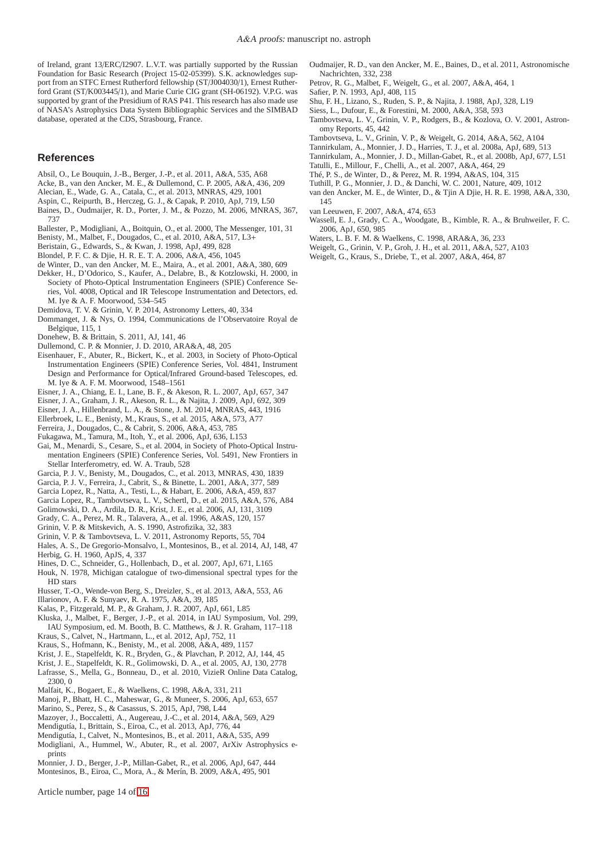of Ireland, grant 13/ERC/I2907. L.V.T. was partially supported by the Russian Foundation for Basic Research (Project 15-02-05399). S.K. acknowledges support from an STFC Ernest Rutherford fellowship (ST/J004030/1), Ernest Rutherford Grant (ST/K003445/1), and Marie Curie CIG grant (SH-06192). V.P.G. was supported by grant of the Presidium of RAS P41. This research has also made use of NASA's Astrophysics Data System Bibliographic Services and the SIMBAD database, operated at the CDS, Strasbourg, France.

#### **References**

- <span id="page-13-69"></span>Absil, O., Le Bouquin, J.-B., Berger, J.-P., et al. 2011, A&A, 535, A68
- <span id="page-13-17"></span>Acke, B., van den Ancker, M. E., & Dullemond, C. P. 2005, A&A, 436, 209
- <span id="page-13-25"></span>Alecian, E., Wade, G. A., Catala, C., et al. 2013, MNRAS, 429, 1001
- <span id="page-13-37"></span>Aspin, C., Reipurth, B., Herczeg, G. J., & Capak, P. 2010, ApJ, 719, L50
- <span id="page-13-27"></span>Baines, D., Oudmaijer, R. D., Porter, J. M., & Pozzo, M. 2006, MNRAS, 367, 737
- <span id="page-13-29"></span>Ballester, P., Modigliani, A., Boitquin, O., et al. 2000, The Messenger, 101, 31
- <span id="page-13-52"></span>Benisty, M., Malbet, F., Dougados, C., et al. 2010, A&A, 517, L3+
- <span id="page-13-36"></span>Beristain, G., Edwards, S., & Kwan, J. 1998, ApJ, 499, 828
- <span id="page-13-22"></span>Blondel, P. F. C. & Djie, H. R. E. T. A. 2006, A&A, 456, 1045
- <span id="page-13-30"></span><span id="page-13-28"></span>de Winter, D., van den Ancker, M. E., Maira, A., et al. 2001, A&A, 380, 609 Dekker, H., D'Odorico, S., Kaufer, A., Delabre, B., & Kotzlowski, H. 2000, in
- Society of Photo-Optical Instrumentation Engineers (SPIE) Conference Series, Vol. 4008, Optical and IR Telescope Instrumentation and Detectors, ed. M. Iye & A. F. Moorwood, 534–545
- <span id="page-13-68"></span>Demidova, T. V. & Grinin, V. P. 2014, Astronomy Letters, 40, 334
- <span id="page-13-26"></span>Dommanget, J. & Nys, O. 1994, Communications de l'Observatoire Royal de Belgique, 115, 1
- <span id="page-13-2"></span>Donehew, B. & Brittain, S. 2011, AJ, 141, 46
- <span id="page-13-50"></span>Dullemond, C. P. & Monnier, J. D. 2010, ARA&A, 48, 205
- <span id="page-13-31"></span>Eisenhauer, F., Abuter, R., Bickert, K., et al. 2003, in Society of Photo-Optical Instrumentation Engineers (SPIE) Conference Series, Vol. 4841, Instrument Design and Performance for Optical/Infrared Ground-based Telescopes, ed. M. Iye & A. F. M. Moorwood, 1548–1561
- <span id="page-13-3"></span>Eisner, J. A., Chiang, E. I., Lane, B. F., & Akeson, R. L. 2007, ApJ, 657, 347
- <span id="page-13-5"></span>Eisner, J. A., Graham, J. R., Akeson, R. L., & Najita, J. 2009, ApJ, 692, 309
- <span id="page-13-6"></span>Eisner, J. A., Hillenbrand, L. A., & Stone, J. M. 2014, MNRAS, 443, 1916
- <span id="page-13-11"></span>Ellerbroek, L. E., Benisty, M., Kraus, S., et al. 2015, A&A, 573, A77
- <span id="page-13-54"></span>Ferreira, J., Dougados, C., & Cabrit, S. 2006, A&A, 453, 785
- <span id="page-13-59"></span>Fukagawa, M., Tamura, M., Itoh, Y., et al. 2006, ApJ, 636, L153
- <span id="page-13-34"></span>Gai, M., Menardi, S., Cesare, S., et al. 2004, in Society of Photo-Optical Instrumentation Engineers (SPIE) Conference Series, Vol. 5491, New Frontiers in Stellar Interferometry, ed. W. A. Traub, 528
- <span id="page-13-9"></span>Garcia, P. J. V., Benisty, M., Dougados, C., et al. 2013, MNRAS, 430, 1839
- <span id="page-13-46"></span>Garcia, P. J. V., Ferreira, J., Cabrit, S., & Binette, L. 2001, A&A, 377, 589
- <span id="page-13-18"></span>Garcia Lopez, R., Natta, A., Testi, L., & Habart, E. 2006, A&A, 459, 837
- <span id="page-13-10"></span>Garcia Lopez, R., Tambovtseva, L. V., Schertl, D., et al. 2015, A&A, 576, A84
- <span id="page-13-61"></span>Golimowski, D. A., Ardila, D. R., Krist, J. E., et al. 2006, AJ, 131, 3109
- <span id="page-13-19"></span>Grady, C. A., Perez, M. R., Talavera, A., et al. 1996, A&AS, 120, 157
- <span id="page-13-47"></span>Grinin, V. P. & Mitskevich, A. S. 1990, Astrofizika, 32, 383
- <span id="page-13-12"></span>Grinin, V. P. & Tambovtseva, L. V. 2011, Astronomy Reports, 55, 704
- <span id="page-13-15"></span>Hales, A. S., De Gregorio-Monsalvo, I., Montesinos, B., et al. 2014, AJ, 148, 47 Herbig, G. H. 1960, ApJS, 4, 337
- <span id="page-13-63"></span><span id="page-13-0"></span>Hines, D. C., Schneider, G., Hollenbach, D., et al. 2007, ApJ, 671, L165
- <span id="page-13-14"></span>Houk, N. 1978, Michigan catalogue of two-dimensional spectral types for the HD stars
- <span id="page-13-39"></span>Husser, T.-O., Wende-von Berg, S., Dreizler, S., et al. 2013, A&A, 553, A6
- <span id="page-13-57"></span>Illarionov, A. F. & Sunyaev, R. A. 1975, A&A, 39, 185
- <span id="page-13-64"></span>Kalas, P., Fitzgerald, M. P., & Graham, J. R. 2007, ApJ, 661, L85
- <span id="page-13-43"></span>Kluska, J., Malbet, F., Berger, J.-P., et al. 2014, in IAU Symposium, Vol. 299, IAU Symposium, ed. M. Booth, B. C. Matthews, & J. R. Graham, 117–118
- <span id="page-13-8"></span>Kraus, S., Calvet, N., Hartmann, L., et al. 2012, ApJ, 752, 11
- <span id="page-13-4"></span>Kraus, S., Hofmann, K., Benisty, M., et al. 2008, A&A, 489, 1157
- <span id="page-13-60"></span>Krist, J. E., Stapelfeldt, K. R., Bryden, G., & Plavchan, P. 2012, AJ, 144, 45
- <span id="page-13-58"></span>Krist, J. E., Stapelfeldt, K. R., Golimowski, D. A., et al. 2005, AJ, 130, 2778
- <span id="page-13-38"></span>Lafrasse, S., Mella, G., Bonneau, D., et al. 2010, VizieR Online Data Catalog, 2300, 0
- <span id="page-13-16"></span>Malfait, K., Bogaert, E., & Waelkens, C. 1998, A&A, 331, 211
- <span id="page-13-21"></span>Manoj, P., Bhatt, H. C., Maheswar, G., & Muneer, S. 2006, ApJ, 653, 657
- <span id="page-13-62"></span>Marino, S., Perez, S., & Casassus, S. 2015, ApJ, 798, L44
- <span id="page-13-65"></span>Mazoyer, J., Boccaletti, A., Augereau, J.-C., et al. 2014, A&A, 569, A29
- <span id="page-13-56"></span>Mendigutía, I., Brittain, S., Eiroa, C., et al. 2013, ApJ, 776, 44
- <span id="page-13-55"></span>Mendigutía, I., Calvet, N., Montesinos, B., et al. 2011, A&A, 535, A99
- <span id="page-13-32"></span>Modigliani, A., Hummel, W., Abuter, R., et al. 2007, ArXiv Astrophysics eprints
- <span id="page-13-66"></span>Monnier, J. D., Berger, J.-P., Millan-Gabet, R., et al. 2006, ApJ, 647, 444
- <span id="page-13-40"></span>Montesinos, B., Eiroa, C., Mora, A., & Merín, B. 2009, A&A, 495, 901

Article number, page 14 of [16](#page-15-0)

- <span id="page-13-20"></span>Oudmaijer, R. D., van den Ancker, M. E., Baines, D., et al. 2011, Astronomische Nachrichten, 332, 238
- <span id="page-13-33"></span>Petrov, R. G., Malbet, F., Weigelt, G., et al. 2007, A&A, 464, 1
- <span id="page-13-45"></span>Safier, P. N. 1993, ApJ, 408, 115
- <span id="page-13-53"></span>Shu, F. H., Lizano, S., Ruden, S. P., & Najita, J. 1988, ApJ, 328, L19
- <span id="page-13-41"></span>Siess, L., Dufour, E., & Forestini, M. 2000, A&A, 358, 593
- <span id="page-13-48"></span>Tambovtseva, L. V., Grinin, V. P., Rodgers, B., & Kozlova, O. V. 2001, Astronomy Reports, 45, 442
- <span id="page-13-13"></span>Tambovtseva, L. V., Grinin, V. P., & Weigelt, G. 2014, A&A, 562, A104
- <span id="page-13-51"></span>Tannirkulam, A., Monnier, J. D., Harries, T. J., et al. 2008a, ApJ, 689, 513
- <span id="page-13-49"></span>Tannirkulam, A., Monnier, J. D., Millan-Gabet, R., et al. 2008b, ApJ, 677, L51
- <span id="page-13-35"></span>Tatulli, E., Millour, F., Chelli, A., et al. 2007, A&A, 464, 29
- <span id="page-13-42"></span>Thé, P. S., de Winter, D., & Perez, M. R. 1994, A&AS, 104, 315
- <span id="page-13-67"></span>Tuthill, P. G., Monnier, J. D., & Danchi, W. C. 2001, Nature, 409, 1012
- <span id="page-13-23"></span>van den Ancker, M. E., de Winter, D., & Tjin A Djie, H. R. E. 1998, A&A, 330, 145
- <span id="page-13-24"></span>van Leeuwen, F. 2007, A&A, 474, 653
- <span id="page-13-70"></span>Wassell, E. J., Grady, C. A., Woodgate, B., Kimble, R. A., & Bruhweiler, F. C. 2006, ApJ, 650, 985
- <span id="page-13-1"></span>Waters, L. B. F. M. & Waelkens, C. 1998, ARA&A, 36, 233
- <span id="page-13-7"></span>Weigelt, G., Grinin, V. P., Groh, J. H., et al. 2011, A&A, 527, A103
- <span id="page-13-44"></span>Weigelt, G., Kraus, S., Driebe, T., et al. 2007, A&A, 464, 87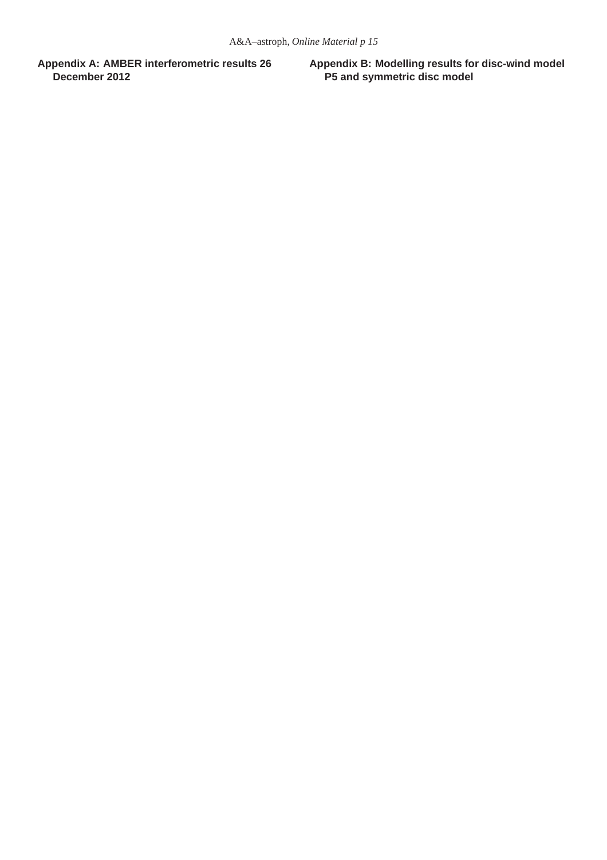<span id="page-14-0"></span>**Appendix A: AMBER interferometric results 26 December 2012**

<span id="page-14-1"></span>**Appendix B: Modelling results for disc-wind model P5 and symmetric disc model**